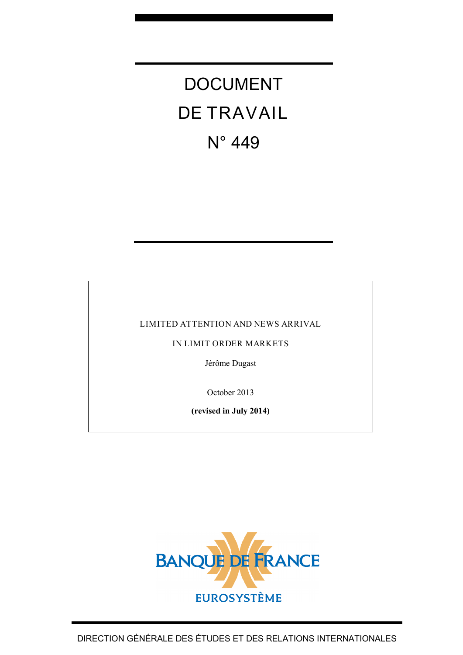# DOCUMENT DE TRAVAIL N° 449

#### LIMITED ATTENTION AND NEWS ARRIVAL

IN LIMIT ORDER MARKETS

Jérôme Dugast

October 2013

**(revised in July 2014)**

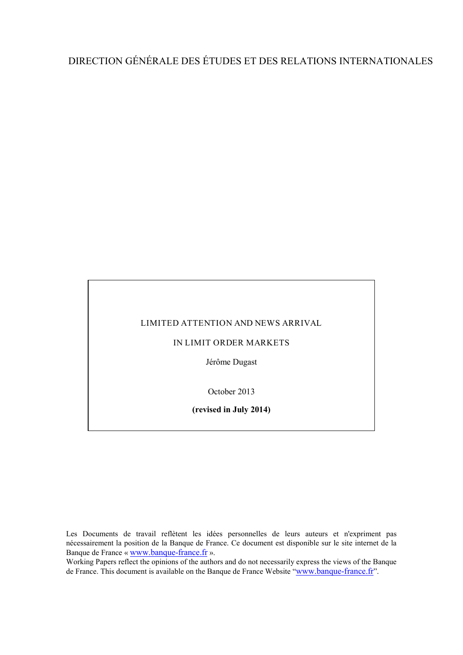# DIRECTION GÉNÉRALE DES ÉTUDES ET DES RELATIONS INTERNATIONALES

#### LIMITED ATTENTION AND NEWS ARRIVAL

#### IN LIMIT ORDER MARKETS

Jérôme Dugast

October 2013

**(revised in July 2014)**

Les Documents de travail reflètent les idées personnelles de leurs auteurs et n'expriment pas nécessairement la position de la Banque de France. Ce document est disponible sur le site internet de la Banque de France « [www.banque-france.fr](http://www.banque-france.fr/) ».

Working Papers reflect the opinions of the authors and do not necessarily express the views of the Banque de France. This document is available on the Banque de France Website ["www.banque-france.fr"](http://www.banque-france.fr/).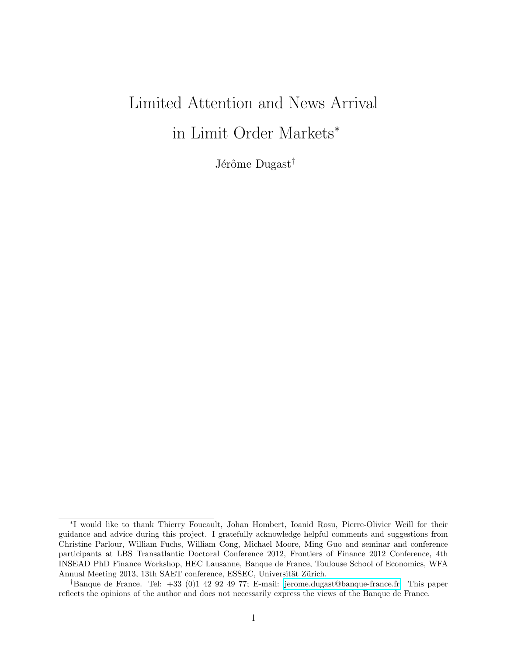# <span id="page-2-0"></span>Limited Attention and News Arrival in Limit Order Markets<sup>∗</sup>

Jérôme Dugast<sup>†</sup>

<sup>∗</sup> I would like to thank Thierry Foucault, Johan Hombert, Ioanid Rosu, Pierre-Olivier Weill for their guidance and advice during this project. I gratefully acknowledge helpful comments and suggestions from Christine Parlour, William Fuchs, William Cong, Michael Moore, Ming Guo and seminar and conference participants at LBS Transatlantic Doctoral Conference 2012, Frontiers of Finance 2012 Conference, 4th INSEAD PhD Finance Workshop, HEC Lausanne, Banque de France, Toulouse School of Economics, WFA Annual Meeting 2013, 13th SAET conference, ESSEC, Universität Zürich.

<sup>†</sup>Banque de France. Tel: +33 (0)1 42 92 49 77; E-mail: [jerome.dugast@banque-france.fr.](mailto:jerome.dugast@banque-france.fr) This paper reflects the opinions of the author and does not necessarily express the views of the Banque de France.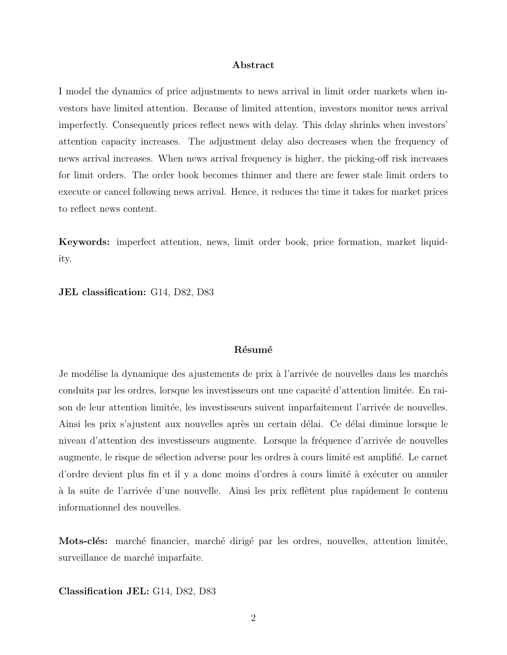#### Abstract

I model the dynamics of price adjustments to news arrival in limit order markets when investors have limited attention. Because of limited attention, investors monitor news arrival imperfectly. Consequently prices reflect news with delay. This delay shrinks when investors' attention capacity increases. The adjustment delay also decreases when the frequency of news arrival increases. When news arrival frequency is higher, the picking-off risk increases for limit orders. The order book becomes thinner and there are fewer stale limit orders to execute or cancel following news arrival. Hence, it reduces the time it takes for market prices to reflect news content.

Keywords: imperfect attention, news, limit order book, price formation, market liquidity.

JEL classification: G14, D82, D83

#### Résumé

Je modélise la dynamique des ajustements de prix à l'arrivée de nouvelles dans les marchés conduits par les ordres, lorsque les investisseurs ont une capacité d'attention limitée. En raison de leur attention limitée, les investisseurs suivent imparfaitement l'arrivée de nouvelles. Ainsi les prix s'ajustent aux nouvelles après un certain délai. Ce délai diminue lorsque le niveau d'attention des investisseurs augmente. Lorsque la fréquence d'arrivée de nouvelles augmente, le risque de sélection adverse pour les ordres à cours limité est amplifié. Le carnet d'ordre devient plus fin et il y a donc moins d'ordres à cours limité à exécuter ou annuler à la suite de l'arrivée d'une nouvelle. Ainsi les prix reflètent plus rapidement le contenu informationnel des nouvelles.

Mots-clés: marché financier, marché dirigé par les ordres, nouvelles, attention limitée, surveillance de marché imparfaite.

Classification JEL: G14, D82, D83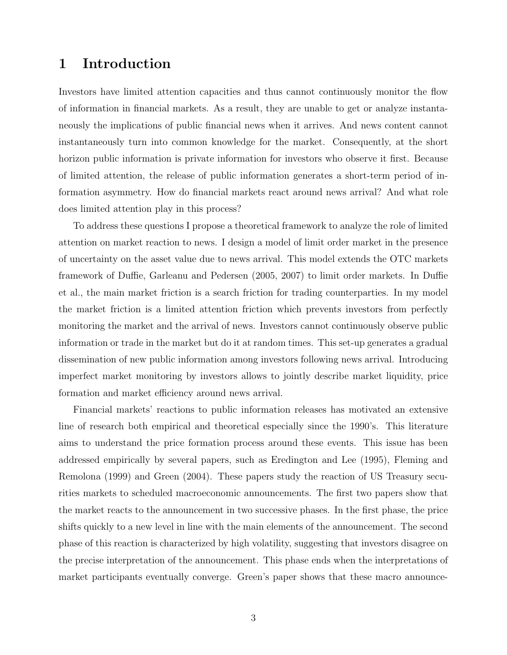## <span id="page-4-0"></span>1 Introduction

Investors have limited attention capacities and thus cannot continuously monitor the flow of information in financial markets. As a result, they are unable to get or analyze instantaneously the implications of public financial news when it arrives. And news content cannot instantaneously turn into common knowledge for the market. Consequently, at the short horizon public information is private information for investors who observe it first. Because of limited attention, the release of public information generates a short-term period of information asymmetry. How do financial markets react around news arrival? And what role does limited attention play in this process?

To address these questions I propose a theoretical framework to analyze the role of limited attention on market reaction to news. I design a model of limit order market in the presence of uncertainty on the asset value due to news arrival. This model extends the OTC markets framework of Duffie, Garleanu and Pedersen (2005, 2007) to limit order markets. In Duffie et al., the main market friction is a search friction for trading counterparties. In my model the market friction is a limited attention friction which prevents investors from perfectly monitoring the market and the arrival of news. Investors cannot continuously observe public information or trade in the market but do it at random times. This set-up generates a gradual dissemination of new public information among investors following news arrival. Introducing imperfect market monitoring by investors allows to jointly describe market liquidity, price formation and market efficiency around news arrival.

Financial markets' reactions to public information releases has motivated an extensive line of research both empirical and theoretical especially since the 1990's. This literature aims to understand the price formation process around these events. This issue has been addressed empirically by several papers, such as Eredington and Lee (1995), Fleming and Remolona (1999) and Green (2004). These papers study the reaction of US Treasury securities markets to scheduled macroeconomic announcements. The first two papers show that the market reacts to the announcement in two successive phases. In the first phase, the price shifts quickly to a new level in line with the main elements of the announcement. The second phase of this reaction is characterized by high volatility, suggesting that investors disagree on the precise interpretation of the announcement. This phase ends when the interpretations of market participants eventually converge. Green's paper shows that these macro announce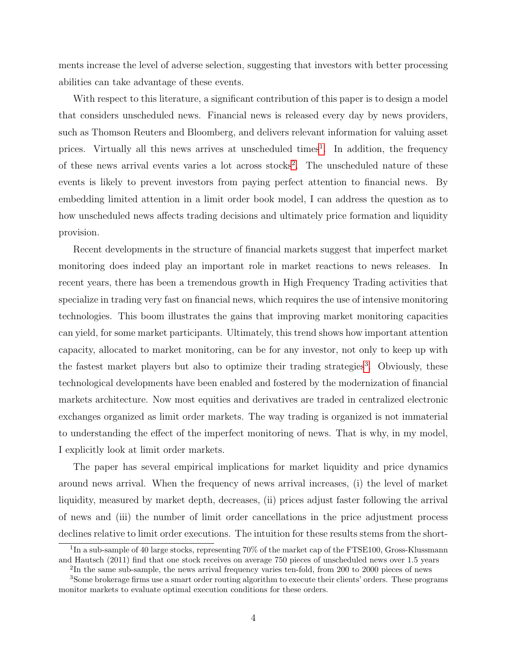ments increase the level of adverse selection, suggesting that investors with better processing abilities can take advantage of these events.

With respect to this literature, a significant contribution of this paper is to design a model that considers unscheduled news. Financial news is released every day by news providers, such as Thomson Reuters and Bloomberg, and delivers relevant information for valuing asset prices. Virtually all this news arrives at unscheduled times<sup>[1](#page-2-0)</sup>. In addition, the frequency of these news arrival events varies a lot across stocks<sup>[2](#page-2-0)</sup>. The unscheduled nature of these events is likely to prevent investors from paying perfect attention to financial news. By embedding limited attention in a limit order book model, I can address the question as to how unscheduled news affects trading decisions and ultimately price formation and liquidity provision.

Recent developments in the structure of financial markets suggest that imperfect market monitoring does indeed play an important role in market reactions to news releases. In recent years, there has been a tremendous growth in High Frequency Trading activities that specialize in trading very fast on financial news, which requires the use of intensive monitoring technologies. This boom illustrates the gains that improving market monitoring capacities can yield, for some market participants. Ultimately, this trend shows how important attention capacity, allocated to market monitoring, can be for any investor, not only to keep up with the fastest market players but also to optimize their trading strategies<sup>[3](#page-2-0)</sup>. Obviously, these technological developments have been enabled and fostered by the modernization of financial markets architecture. Now most equities and derivatives are traded in centralized electronic exchanges organized as limit order markets. The way trading is organized is not immaterial to understanding the effect of the imperfect monitoring of news. That is why, in my model, I explicitly look at limit order markets.

The paper has several empirical implications for market liquidity and price dynamics around news arrival. When the frequency of news arrival increases, (i) the level of market liquidity, measured by market depth, decreases, (ii) prices adjust faster following the arrival of news and (iii) the number of limit order cancellations in the price adjustment process declines relative to limit order executions. The intuition for these results stems from the short-

<sup>&</sup>lt;sup>1</sup>In a sub-sample of 40 large stocks, representing 70% of the market cap of the FTSE100, Gross-Klussmann and Hautsch (2011) find that one stock receives on average 750 pieces of unscheduled news over 1.5 years

<sup>&</sup>lt;sup>2</sup>In the same sub-sample, the news arrival frequency varies ten-fold, from 200 to 2000 pieces of news

<sup>&</sup>lt;sup>3</sup>Some brokerage firms use a smart order routing algorithm to execute their clients' orders. These programs monitor markets to evaluate optimal execution conditions for these orders.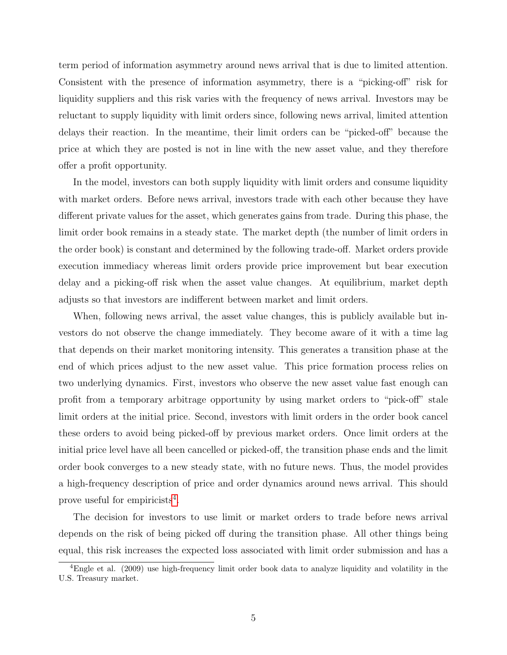term period of information asymmetry around news arrival that is due to limited attention. Consistent with the presence of information asymmetry, there is a "picking-off" risk for liquidity suppliers and this risk varies with the frequency of news arrival. Investors may be reluctant to supply liquidity with limit orders since, following news arrival, limited attention delays their reaction. In the meantime, their limit orders can be "picked-off" because the price at which they are posted is not in line with the new asset value, and they therefore offer a profit opportunity.

In the model, investors can both supply liquidity with limit orders and consume liquidity with market orders. Before news arrival, investors trade with each other because they have different private values for the asset, which generates gains from trade. During this phase, the limit order book remains in a steady state. The market depth (the number of limit orders in the order book) is constant and determined by the following trade-off. Market orders provide execution immediacy whereas limit orders provide price improvement but bear execution delay and a picking-off risk when the asset value changes. At equilibrium, market depth adjusts so that investors are indifferent between market and limit orders.

When, following news arrival, the asset value changes, this is publicly available but investors do not observe the change immediately. They become aware of it with a time lag that depends on their market monitoring intensity. This generates a transition phase at the end of which prices adjust to the new asset value. This price formation process relies on two underlying dynamics. First, investors who observe the new asset value fast enough can profit from a temporary arbitrage opportunity by using market orders to "pick-off" stale limit orders at the initial price. Second, investors with limit orders in the order book cancel these orders to avoid being picked-off by previous market orders. Once limit orders at the initial price level have all been cancelled or picked-off, the transition phase ends and the limit order book converges to a new steady state, with no future news. Thus, the model provides a high-frequency description of price and order dynamics around news arrival. This should prove useful for empiricists<sup>[4](#page-2-0)</sup>.

The decision for investors to use limit or market orders to trade before news arrival depends on the risk of being picked off during the transition phase. All other things being equal, this risk increases the expected loss associated with limit order submission and has a

<sup>4</sup>Engle et al. (2009) use high-frequency limit order book data to analyze liquidity and volatility in the U.S. Treasury market.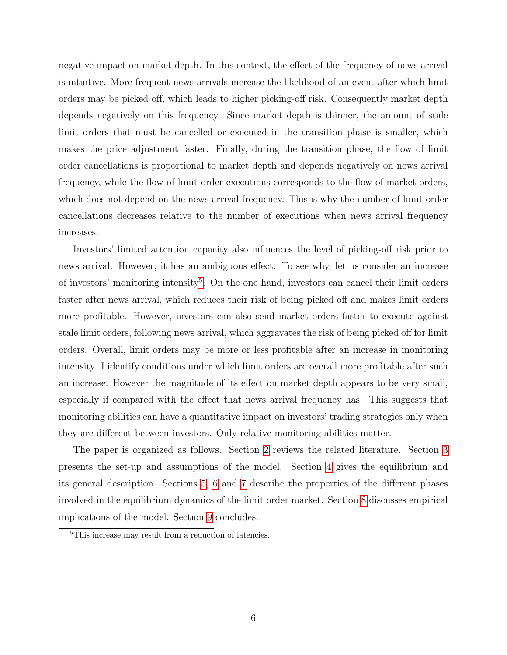negative impact on market depth. In this context, the effect of the frequency of news arrival is intuitive. More frequent news arrivals increase the likelihood of an event after which limit orders may be picked off, which leads to higher picking-off risk. Consequently market depth depends negatively on this frequency. Since market depth is thinner, the amount of stale limit orders that must be cancelled or executed in the transition phase is smaller, which makes the price adjustment faster. Finally, during the transition phase, the flow of limit order cancellations is proportional to market depth and depends negatively on news arrival frequency, while the flow of limit order executions corresponds to the flow of market orders, which does not depend on the news arrival frequency. This is why the number of limit order cancellations decreases relative to the number of executions when news arrival frequency increases.

Investors' limited attention capacity also influences the level of picking-off risk prior to news arrival. However, it has an ambiguous effect. To see why, let us consider an increase of investors' monitoring intensity<sup>[5](#page-2-0)</sup>. On the one hand, investors can cancel their limit orders faster after news arrival, which reduces their risk of being picked off and makes limit orders more profitable. However, investors can also send market orders faster to execute against stale limit orders, following news arrival, which aggravates the risk of being picked off for limit orders. Overall, limit orders may be more or less profitable after an increase in monitoring intensity. I identify conditions under which limit orders are overall more profitable after such an increase. However the magnitude of its effect on market depth appears to be very small, especially if compared with the effect that news arrival frequency has. This suggests that monitoring abilities can have a quantitative impact on investors' trading strategies only when they are different between investors. Only relative monitoring abilities matter.

The paper is organized as follows. Section [2](#page-8-0) reviews the related literature. Section [3](#page-10-0) presents the set-up and assumptions of the model. Section [4](#page-17-0) gives the equilibrium and its general description. Sections [5,](#page-21-0) [6](#page-32-0) and [7](#page-35-0) describe the properties of the different phases involved in the equilibrium dynamics of the limit order market. Section [8](#page-37-0) discusses empirical implications of the model. Section [9](#page-41-0) concludes.

<sup>5</sup>This increase may result from a reduction of latencies.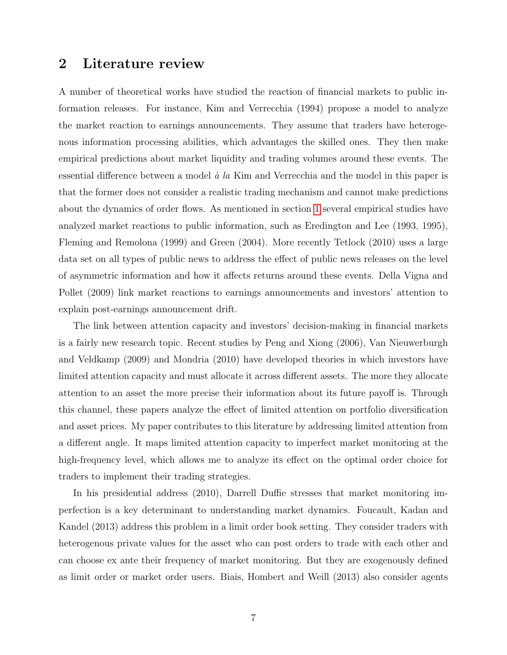## <span id="page-8-0"></span>2 Literature review

A number of theoretical works have studied the reaction of financial markets to public information releases. For instance, Kim and Verrecchia (1994) propose a model to analyze the market reaction to earnings announcements. They assume that traders have heterogenous information processing abilities, which advantages the skilled ones. They then make empirical predictions about market liquidity and trading volumes around these events. The essential difference between a model  $\dot{a}$  la Kim and Verrecchia and the model in this paper is that the former does not consider a realistic trading mechanism and cannot make predictions about the dynamics of order flows. As mentioned in section [1](#page-4-0) several empirical studies have analyzed market reactions to public information, such as Eredington and Lee (1993, 1995), Fleming and Remolona (1999) and Green (2004). More recently Tetlock (2010) uses a large data set on all types of public news to address the effect of public news releases on the level of asymmetric information and how it affects returns around these events. Della Vigna and Pollet (2009) link market reactions to earnings announcements and investors' attention to explain post-earnings announcement drift.

The link between attention capacity and investors' decision-making in financial markets is a fairly new research topic. Recent studies by Peng and Xiong (2006), Van Nieuwerburgh and Veldkamp (2009) and Mondria (2010) have developed theories in which investors have limited attention capacity and must allocate it across different assets. The more they allocate attention to an asset the more precise their information about its future payoff is. Through this channel, these papers analyze the effect of limited attention on portfolio diversification and asset prices. My paper contributes to this literature by addressing limited attention from a different angle. It maps limited attention capacity to imperfect market monitoring at the high-frequency level, which allows me to analyze its effect on the optimal order choice for traders to implement their trading strategies.

In his presidential address (2010), Darrell Duffie stresses that market monitoring imperfection is a key determinant to understanding market dynamics. Foucault, Kadan and Kandel (2013) address this problem in a limit order book setting. They consider traders with heterogenous private values for the asset who can post orders to trade with each other and can choose ex ante their frequency of market monitoring. But they are exogenously defined as limit order or market order users. Biais, Hombert and Weill (2013) also consider agents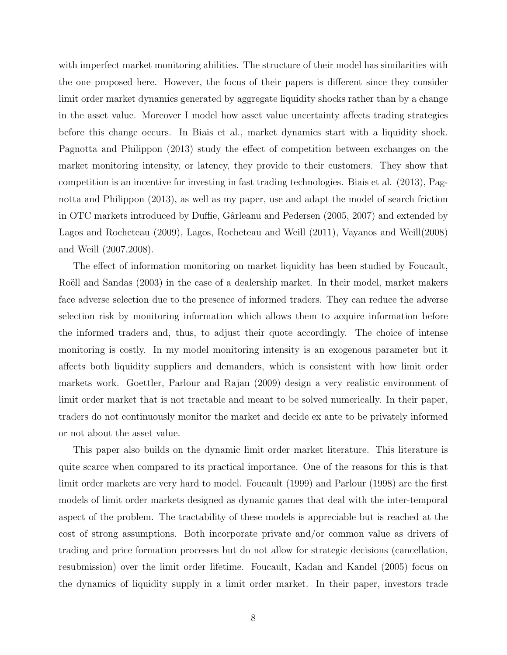with imperfect market monitoring abilities. The structure of their model has similarities with the one proposed here. However, the focus of their papers is different since they consider limit order market dynamics generated by aggregate liquidity shocks rather than by a change in the asset value. Moreover I model how asset value uncertainty affects trading strategies before this change occurs. In Biais et al., market dynamics start with a liquidity shock. Pagnotta and Philippon (2013) study the effect of competition between exchanges on the market monitoring intensity, or latency, they provide to their customers. They show that competition is an incentive for investing in fast trading technologies. Biais et al. (2013), Pagnotta and Philippon (2013), as well as my paper, use and adapt the model of search friction in OTC markets introduced by Duffie, Gârleanu and Pedersen (2005, 2007) and extended by Lagos and Rocheteau (2009), Lagos, Rocheteau and Weill (2011), Vayanos and Weill(2008) and Weill (2007,2008).

The effect of information monitoring on market liquidity has been studied by Foucault, Roëll and Sandas (2003) in the case of a dealership market. In their model, market makers face adverse selection due to the presence of informed traders. They can reduce the adverse selection risk by monitoring information which allows them to acquire information before the informed traders and, thus, to adjust their quote accordingly. The choice of intense monitoring is costly. In my model monitoring intensity is an exogenous parameter but it affects both liquidity suppliers and demanders, which is consistent with how limit order markets work. Goettler, Parlour and Rajan (2009) design a very realistic environment of limit order market that is not tractable and meant to be solved numerically. In their paper, traders do not continuously monitor the market and decide ex ante to be privately informed or not about the asset value.

This paper also builds on the dynamic limit order market literature. This literature is quite scarce when compared to its practical importance. One of the reasons for this is that limit order markets are very hard to model. Foucault (1999) and Parlour (1998) are the first models of limit order markets designed as dynamic games that deal with the inter-temporal aspect of the problem. The tractability of these models is appreciable but is reached at the cost of strong assumptions. Both incorporate private and/or common value as drivers of trading and price formation processes but do not allow for strategic decisions (cancellation, resubmission) over the limit order lifetime. Foucault, Kadan and Kandel (2005) focus on the dynamics of liquidity supply in a limit order market. In their paper, investors trade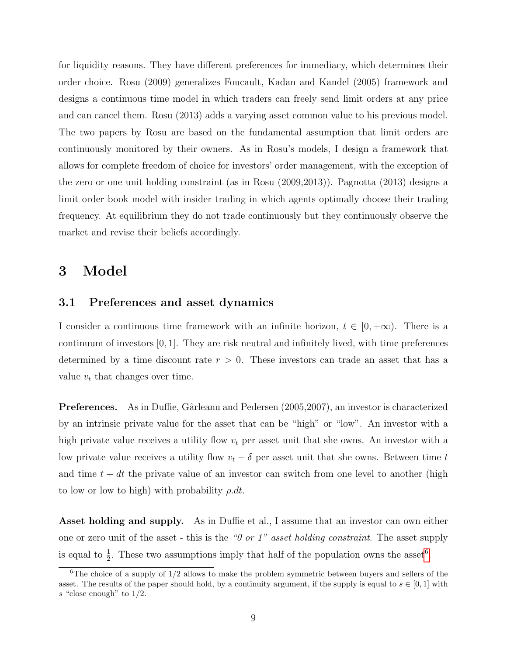for liquidity reasons. They have different preferences for immediacy, which determines their order choice. Rosu (2009) generalizes Foucault, Kadan and Kandel (2005) framework and designs a continuous time model in which traders can freely send limit orders at any price and can cancel them. Rosu (2013) adds a varying asset common value to his previous model. The two papers by Rosu are based on the fundamental assumption that limit orders are continuously monitored by their owners. As in Rosu's models, I design a framework that allows for complete freedom of choice for investors' order management, with the exception of the zero or one unit holding constraint (as in Rosu (2009,2013)). Pagnotta (2013) designs a limit order book model with insider trading in which agents optimally choose their trading frequency. At equilibrium they do not trade continuously but they continuously observe the market and revise their beliefs accordingly.

# <span id="page-10-0"></span>3 Model

#### 3.1 Preferences and asset dynamics

I consider a continuous time framework with an infinite horizon,  $t \in [0, +\infty)$ . There is a continuum of investors [0, 1]. They are risk neutral and infinitely lived, with time preferences determined by a time discount rate  $r > 0$ . These investors can trade an asset that has a value  $v_t$  that changes over time.

**Preferences.** As in Duffie, Gârleanu and Pedersen (2005, 2007), an investor is characterized by an intrinsic private value for the asset that can be "high" or "low". An investor with a high private value receives a utility flow  $v_t$  per asset unit that she owns. An investor with a low private value receives a utility flow  $v_t - \delta$  per asset unit that she owns. Between time t and time  $t + dt$  the private value of an investor can switch from one level to another (high to low or low to high) with probability  $\rho \, dt$ .

Asset holding and supply. As in Duffie et al., I assume that an investor can own either one or zero unit of the asset - this is the " $\theta$  or  $1$ " asset holding constraint. The asset supply is equal to  $\frac{1}{2}$ . These two assumptions imply that half of the population owns the asset<sup>[6](#page-2-0)</sup>.

 $6$ The choice of a supply of  $1/2$  allows to make the problem symmetric between buyers and sellers of the asset. The results of the paper should hold, by a continuity argument, if the supply is equal to  $s \in [0,1]$  with s "close enough" to  $1/2$ .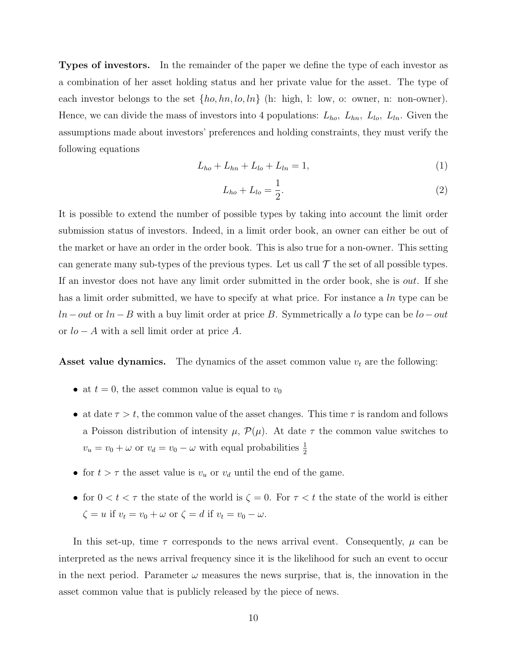Types of investors. In the remainder of the paper we define the type of each investor as a combination of her asset holding status and her private value for the asset. The type of each investor belongs to the set  $\{ho, hn, lo, ln\}$  (h: high, l: low, o: owner, n: non-owner). Hence, we can divide the mass of investors into 4 populations:  $L_{ho}$ ,  $L_{hn}$ ,  $L_{lo}$ ,  $L_{ln}$ . Given the assumptions made about investors' preferences and holding constraints, they must verify the following equations

$$
L_{ho} + L_{hn} + L_{lo} + L_{ln} = 1,\t\t(1)
$$

$$
L_{ho} + L_{lo} = \frac{1}{2}.
$$
 (2)

It is possible to extend the number of possible types by taking into account the limit order submission status of investors. Indeed, in a limit order book, an owner can either be out of the market or have an order in the order book. This is also true for a non-owner. This setting can generate many sub-types of the previous types. Let us call  $\mathcal T$  the set of all possible types. If an investor does not have any limit order submitted in the order book, she is out. If she has a limit order submitted, we have to specify at what price. For instance a ln type can be  $ln - out$  or  $ln - B$  with a buy limit order at price B. Symmetrically a lo type can be  $lo - out$ or  $lo - A$  with a sell limit order at price A.

**Asset value dynamics.** The dynamics of the asset common value  $v_t$  are the following:

- at  $t = 0$ , the asset common value is equal to  $v_0$
- at date  $\tau > t$ , the common value of the asset changes. This time  $\tau$  is random and follows a Poisson distribution of intensity  $\mu$ ,  $\mathcal{P}(\mu)$ . At date  $\tau$  the common value switches to  $v_u = v_0 + \omega$  or  $v_d = v_0 - \omega$  with equal probabilities  $\frac{1}{2}$
- for  $t > \tau$  the asset value is  $v_u$  or  $v_d$  until the end of the game.
- for  $0 < t < \tau$  the state of the world is  $\zeta = 0$ . For  $\tau < t$  the state of the world is either  $\zeta = u$  if  $v_t = v_0 + \omega$  or  $\zeta = d$  if  $v_t = v_0 - \omega$ .

In this set-up, time  $\tau$  corresponds to the news arrival event. Consequently,  $\mu$  can be interpreted as the news arrival frequency since it is the likelihood for such an event to occur in the next period. Parameter  $\omega$  measures the news surprise, that is, the innovation in the asset common value that is publicly released by the piece of news.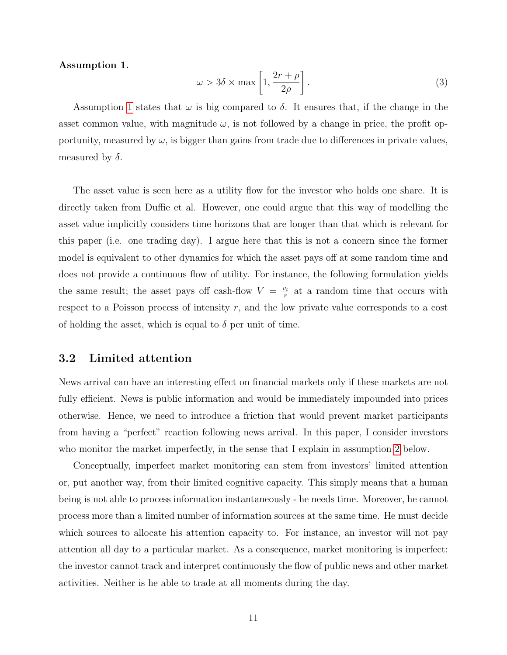#### <span id="page-12-0"></span>Assumption 1.

$$
\omega > 3\delta \times \max\left[1, \frac{2r + \rho}{2\rho}\right].\tag{3}
$$

Assumption [1](#page-12-0) states that  $\omega$  is big compared to  $\delta$ . It ensures that, if the change in the asset common value, with magnitude  $\omega$ , is not followed by a change in price, the profit opportunity, measured by  $\omega$ , is bigger than gains from trade due to differences in private values, measured by  $\delta$ .

The asset value is seen here as a utility flow for the investor who holds one share. It is directly taken from Duffie et al. However, one could argue that this way of modelling the asset value implicitly considers time horizons that are longer than that which is relevant for this paper (i.e. one trading day). I argue here that this is not a concern since the former model is equivalent to other dynamics for which the asset pays off at some random time and does not provide a continuous flow of utility. For instance, the following formulation yields the same result; the asset pays off cash-flow  $V = \frac{v_t}{r}$  $\frac{v_t}{r}$  at a random time that occurs with respect to a Poisson process of intensity r, and the low private value corresponds to a cost of holding the asset, which is equal to  $\delta$  per unit of time.

#### 3.2 Limited attention

News arrival can have an interesting effect on financial markets only if these markets are not fully efficient. News is public information and would be immediately impounded into prices otherwise. Hence, we need to introduce a friction that would prevent market participants from having a "perfect" reaction following news arrival. In this paper, I consider investors who monitor the market imperfectly, in the sense that I explain in assumption [2](#page-13-0) below.

Conceptually, imperfect market monitoring can stem from investors' limited attention or, put another way, from their limited cognitive capacity. This simply means that a human being is not able to process information instantaneously - he needs time. Moreover, he cannot process more than a limited number of information sources at the same time. He must decide which sources to allocate his attention capacity to. For instance, an investor will not pay attention all day to a particular market. As a consequence, market monitoring is imperfect: the investor cannot track and interpret continuously the flow of public news and other market activities. Neither is he able to trade at all moments during the day.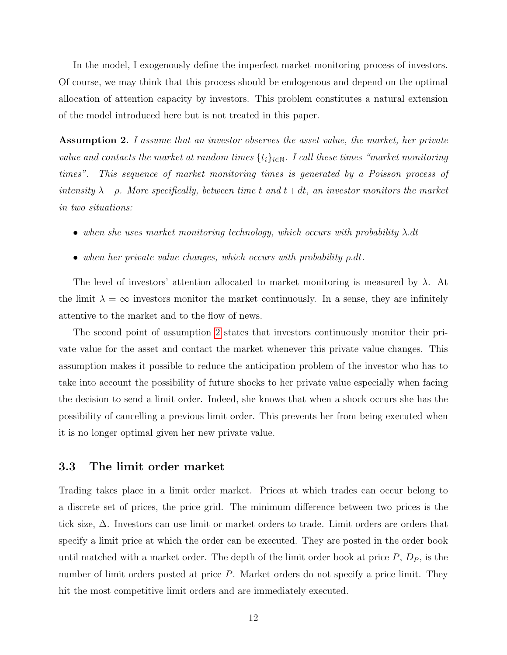In the model, I exogenously define the imperfect market monitoring process of investors. Of course, we may think that this process should be endogenous and depend on the optimal allocation of attention capacity by investors. This problem constitutes a natural extension of the model introduced here but is not treated in this paper.

<span id="page-13-0"></span>**Assumption 2.** I assume that an investor observes the asset value, the market, her private value and contacts the market at random times  $\{t_i\}_{i\in\mathbb{N}}$ . I call these times "market monitoring times". This sequence of market monitoring times is generated by a Poisson process of intensity  $\lambda + \rho$ . More specifically, between time t and  $t + dt$ , an investor monitors the market in two situations:

- when she uses market monitoring technology, which occurs with probability  $\lambda$ .dt
- when her private value changes, which occurs with probability  $\rho \, dt$ .

The level of investors' attention allocated to market monitoring is measured by  $\lambda$ . At the limit  $\lambda = \infty$  investors monitor the market continuously. In a sense, they are infinitely attentive to the market and to the flow of news.

The second point of assumption [2](#page-13-0) states that investors continuously monitor their private value for the asset and contact the market whenever this private value changes. This assumption makes it possible to reduce the anticipation problem of the investor who has to take into account the possibility of future shocks to her private value especially when facing the decision to send a limit order. Indeed, she knows that when a shock occurs she has the possibility of cancelling a previous limit order. This prevents her from being executed when it is no longer optimal given her new private value.

#### 3.3 The limit order market

Trading takes place in a limit order market. Prices at which trades can occur belong to a discrete set of prices, the price grid. The minimum difference between two prices is the tick size, ∆. Investors can use limit or market orders to trade. Limit orders are orders that specify a limit price at which the order can be executed. They are posted in the order book until matched with a market order. The depth of the limit order book at price  $P, D<sub>P</sub>$ , is the number of limit orders posted at price P. Market orders do not specify a price limit. They hit the most competitive limit orders and are immediately executed.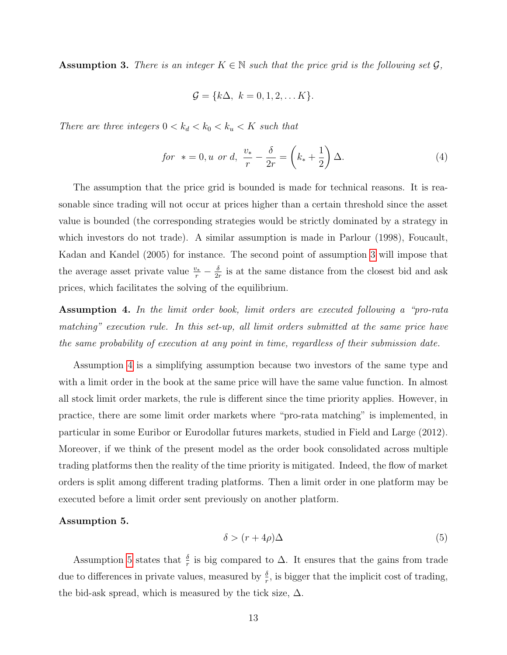<span id="page-14-0"></span>**Assumption 3.** There is an integer  $K \in \mathbb{N}$  such that the price grid is the following set  $\mathcal{G}$ ,

$$
\mathcal{G} = \{k\Delta, k = 0, 1, 2, \dots K\}.
$$

There are three integers  $0 < k_d < k_0 < k_u < K$  such that

$$
for \t * = 0, u \text{ or } d, \frac{v_*}{r} - \frac{\delta}{2r} = \left(k_* + \frac{1}{2}\right)\Delta.
$$
 (4)

The assumption that the price grid is bounded is made for technical reasons. It is reasonable since trading will not occur at prices higher than a certain threshold since the asset value is bounded (the corresponding strategies would be strictly dominated by a strategy in which investors do not trade). A similar assumption is made in Parlour (1998), Foucault, Kadan and Kandel (2005) for instance. The second point of assumption [3](#page-14-0) will impose that the average asset private value  $\frac{v_*}{r} - \frac{\delta}{2r}$  $\frac{\partial}{\partial r}$  is at the same distance from the closest bid and ask prices, which facilitates the solving of the equilibrium.

<span id="page-14-1"></span>Assumption 4. In the limit order book, limit orders are executed following a "pro-rata matching" execution rule. In this set-up, all limit orders submitted at the same price have the same probability of execution at any point in time, regardless of their submission date.

Assumption [4](#page-14-1) is a simplifying assumption because two investors of the same type and with a limit order in the book at the same price will have the same value function. In almost all stock limit order markets, the rule is different since the time priority applies. However, in practice, there are some limit order markets where "pro-rata matching" is implemented, in particular in some Euribor or Eurodollar futures markets, studied in Field and Large (2012). Moreover, if we think of the present model as the order book consolidated across multiple trading platforms then the reality of the time priority is mitigated. Indeed, the flow of market orders is split among different trading platforms. Then a limit order in one platform may be executed before a limit order sent previously on another platform.

#### <span id="page-14-2"></span>Assumption 5.

$$
\delta > (r + 4\rho)\Delta \tag{5}
$$

Assumption [5](#page-14-2) states that  $\frac{\delta}{r}$  is big compared to  $\Delta$ . It ensures that the gains from trade due to differences in private values, measured by  $\frac{\delta}{r}$ , is bigger that the implicit cost of trading, the bid-ask spread, which is measured by the tick size,  $\Delta$ .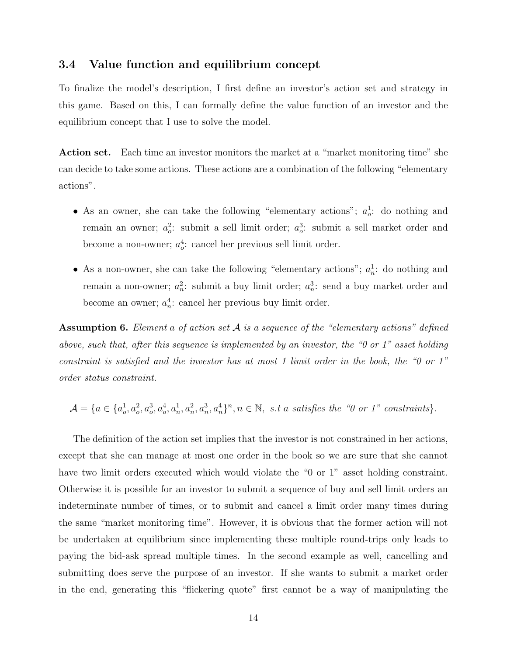#### 3.4 Value function and equilibrium concept

To finalize the model's description, I first define an investor's action set and strategy in this game. Based on this, I can formally define the value function of an investor and the equilibrium concept that I use to solve the model.

Action set. Each time an investor monitors the market at a "market monitoring time" she can decide to take some actions. These actions are a combination of the following "elementary actions".

- As an owner, she can take the following "elementary actions";  $a_o^1$ : do nothing and remain an owner;  $a_o^2$ : submit a sell limit order;  $a_o^3$ : submit a sell market order and become a non-owner;  $a_o^4$ : cancel her previous sell limit order.
- As a non-owner, she can take the following "elementary actions";  $a_n^1$ : do nothing and remain a non-owner;  $a_n^2$ : submit a buy limit order;  $a_n^3$ : send a buy market order and become an owner;  $a_n^4$ : cancel her previous buy limit order.

**Assumption 6.** Element a of action set  $A$  is a sequence of the "elementary actions" defined above, such that, after this sequence is implemented by an investor, the "0 or 1" asset holding constraint is satisfied and the investor has at most 1 limit order in the book, the "0 or 1" order status constraint.

$$
\mathcal{A} = \{a \in \{a_o^1, a_o^2, a_o^3, a_o^4, a_n^1, a_n^2, a_n^3, a_n^4\}^n, n \in \mathbb{N}, \text{ s.t a satisfies the "0 or 1" constraints}\}.
$$

The definition of the action set implies that the investor is not constrained in her actions, except that she can manage at most one order in the book so we are sure that she cannot have two limit orders executed which would violate the "0 or 1" asset holding constraint. Otherwise it is possible for an investor to submit a sequence of buy and sell limit orders an indeterminate number of times, or to submit and cancel a limit order many times during the same "market monitoring time". However, it is obvious that the former action will not be undertaken at equilibrium since implementing these multiple round-trips only leads to paying the bid-ask spread multiple times. In the second example as well, cancelling and submitting does serve the purpose of an investor. If she wants to submit a market order in the end, generating this "flickering quote" first cannot be a way of manipulating the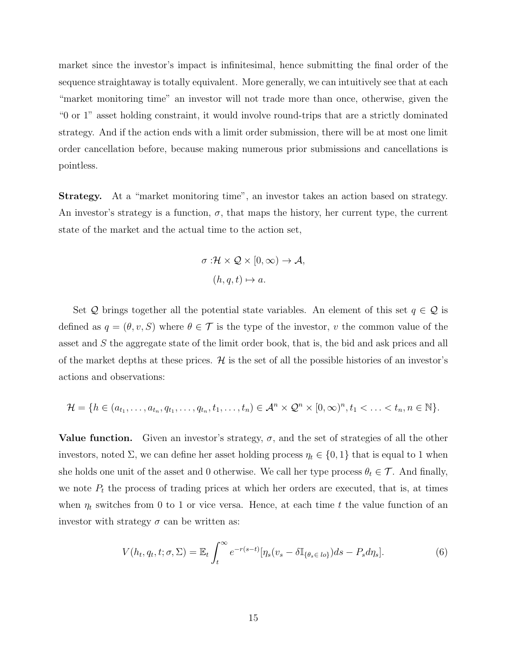market since the investor's impact is infinitesimal, hence submitting the final order of the sequence straightaway is totally equivalent. More generally, we can intuitively see that at each "market monitoring time" an investor will not trade more than once, otherwise, given the "0 or 1" asset holding constraint, it would involve round-trips that are a strictly dominated strategy. And if the action ends with a limit order submission, there will be at most one limit order cancellation before, because making numerous prior submissions and cancellations is pointless.

Strategy. At a "market monitoring time", an investor takes an action based on strategy. An investor's strategy is a function,  $\sigma$ , that maps the history, her current type, the current state of the market and the actual time to the action set,

$$
\sigma : \mathcal{H} \times \mathcal{Q} \times [0, \infty) \to \mathcal{A},
$$

$$
(h, q, t) \mapsto a.
$$

Set Q brings together all the potential state variables. An element of this set  $q \in \mathcal{Q}$  is defined as  $q = (\theta, v, S)$  where  $\theta \in \mathcal{T}$  is the type of the investor, v the common value of the asset and S the aggregate state of the limit order book, that is, the bid and ask prices and all of the market depths at these prices.  $\mathcal{H}$  is the set of all the possible histories of an investor's actions and observations:

$$
\mathcal{H} = \{h \in (a_{t_1}, \ldots, a_{t_n}, q_{t_1}, \ldots, q_{t_n}, t_1, \ldots, t_n) \in \mathcal{A}^n \times \mathcal{Q}^n \times [0, \infty)^n, t_1 < \ldots < t_n, n \in \mathbb{N}\}.
$$

**Value function.** Given an investor's strategy,  $\sigma$ , and the set of strategies of all the other investors, noted  $\Sigma$ , we can define her asset holding process  $\eta_t \in \{0, 1\}$  that is equal to 1 when she holds one unit of the asset and 0 otherwise. We call her type process  $\theta_t \in \mathcal{T}$ . And finally, we note  $P_t$  the process of trading prices at which her orders are executed, that is, at times when  $\eta_t$  switches from 0 to 1 or vice versa. Hence, at each time t the value function of an investor with strategy  $\sigma$  can be written as:

$$
V(h_t, q_t, t; \sigma, \Sigma) = \mathbb{E}_t \int_t^{\infty} e^{-r(s-t)} [\eta_s(v_s - \delta \mathbb{I}_{\{\theta_s \in \{b\}}}) ds - P_s d\eta_s]. \tag{6}
$$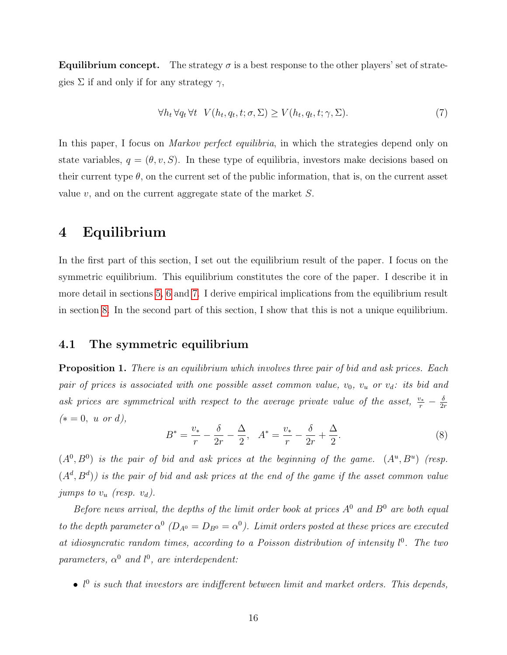**Equilibrium concept.** The strategy  $\sigma$  is a best response to the other players' set of strategies  $\Sigma$  if and only if for any strategy  $\gamma$ ,

$$
\forall h_t \,\forall q_t \,\forall t \quad V(h_t, q_t, t; \sigma, \Sigma) \ge V(h_t, q_t, t; \gamma, \Sigma). \tag{7}
$$

In this paper, I focus on *Markov perfect equilibria*, in which the strategies depend only on state variables,  $q = (\theta, v, S)$ . In these type of equilibria, investors make decisions based on their current type  $\theta$ , on the current set of the public information, that is, on the current asset value  $v$ , and on the current aggregate state of the market  $S$ .

# <span id="page-17-0"></span>4 Equilibrium

In the first part of this section, I set out the equilibrium result of the paper. I focus on the symmetric equilibrium. This equilibrium constitutes the core of the paper. I describe it in more detail in sections [5,](#page-21-0) [6](#page-32-0) and [7.](#page-35-0) I derive empirical implications from the equilibrium result in section [8.](#page-37-0) In the second part of this section, I show that this is not a unique equilibrium.

#### 4.1 The symmetric equilibrium

<span id="page-17-1"></span>**Proposition 1.** There is an equilibrium which involves three pair of bid and ask prices. Each pair of prices is associated with one possible asset common value,  $v_0$ ,  $v_u$  or  $v_d$ : its bid and ask prices are symmetrical with respect to the average private value of the asset,  $\frac{v_*}{r} - \frac{\delta}{2n}$  $2r$  $(* = 0, u \text{ or } d),$ 

<span id="page-17-2"></span>
$$
B^* = \frac{v_*}{r} - \frac{\delta}{2r} - \frac{\Delta}{2}, \quad A^* = \frac{v_*}{r} - \frac{\delta}{2r} + \frac{\Delta}{2}.
$$
 (8)

 $(A^0, B^0)$  is the pair of bid and ask prices at the beginning of the game.  $(A^u, B^u)$  (resp.  $(A^d, B^d)$ ) is the pair of bid and ask prices at the end of the game if the asset common value jumps to  $v_u$  (resp.  $v_d$ ).

Before news arrival, the depths of the limit order book at prices  $A^0$  and  $B^0$  are both equal to the depth parameter  $\alpha^0$  ( $D_{A^0} = D_{B^0} = \alpha^0$ ). Limit orders posted at these prices are executed at idiosyncratic random times, according to a Poisson distribution of intensity  $l^0$ . The two parameters,  $\alpha^0$  and  $l^0$ , are interdependent:

•  $l^0$  is such that investors are indifferent between limit and market orders. This depends,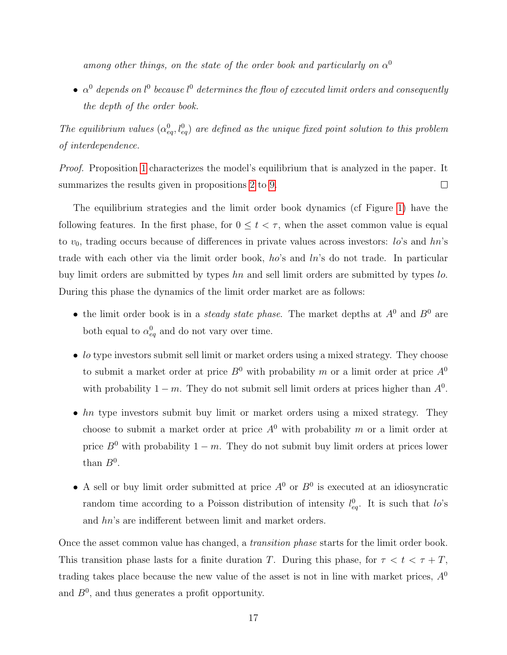among other things, on the state of the order book and particularly on  $\alpha^0$ 

•  $\alpha^0$  depends on  $l^0$  because  $l^0$  determines the flow of executed limit orders and consequently the depth of the order book.

The equilibrium values  $(\alpha_{eq}^0, l_{eq}^0)$  are defined as the unique fixed point solution to this problem of interdependence.

*Proof.* Proposition [1](#page-17-1) characterizes the model's equilibrium that is analyzed in the paper. It summarizes the results given in propositions [2](#page-21-1) to [9.](#page-37-1)  $\Box$ 

The equilibrium strategies and the limit order book dynamics (cf Figure [1\)](#page-20-0) have the following features. In the first phase, for  $0 \le t < \tau$ , when the asset common value is equal to  $v_0$ , trading occurs because of differences in private values across investors: lo's and  $hn$ 's trade with each other via the limit order book, ho's and ln's do not trade. In particular buy limit orders are submitted by types hn and sell limit orders are submitted by types lo. During this phase the dynamics of the limit order market are as follows:

- the limit order book is in a *steady state phase*. The market depths at  $A^0$  and  $B^0$  are both equal to  $\alpha_{eq}^0$  and do not vary over time.
- *lo* type investors submit sell limit or market orders using a mixed strategy. They choose to submit a market order at price  $B^0$  with probability m or a limit order at price  $A^0$ with probability  $1 - m$ . They do not submit sell limit orders at prices higher than  $A^0$ .
- *hn* type investors submit buy limit or market orders using a mixed strategy. They choose to submit a market order at price  $A^0$  with probability m or a limit order at price  $B^0$  with probability  $1 - m$ . They do not submit buy limit orders at prices lower than  $B^0$ .
- A sell or buy limit order submitted at price  $A^0$  or  $B^0$  is executed at an idiosyncratic random time according to a Poisson distribution of intensity  $l_{eq}^{0}$ . It is such that  $l_{o}$ 's and hn's are indifferent between limit and market orders.

Once the asset common value has changed, a *transition phase* starts for the limit order book. This transition phase lasts for a finite duration T. During this phase, for  $\tau < t < \tau + T$ , trading takes place because the new value of the asset is not in line with market prices,  $A^{0}$ and  $B^0$ , and thus generates a profit opportunity.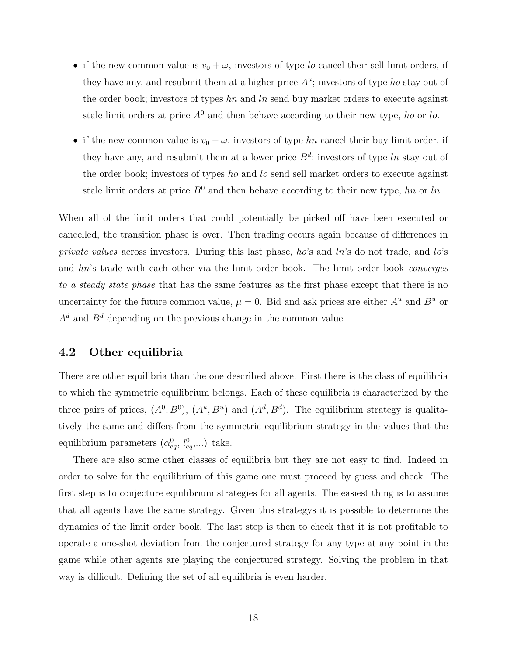- if the new common value is  $v_0 + \omega$ , investors of type lo cancel their sell limit orders, if they have any, and resubmit them at a higher price  $A<sup>u</sup>$ ; investors of type ho stay out of the order book; investors of types  $hn$  and  $ln$  send buy market orders to execute against stale limit orders at price  $A^0$  and then behave according to their new type, ho or lo.
- if the new common value is  $v_0 \omega$ , investors of type hn cancel their buy limit order, if they have any, and resubmit them at a lower price  $B^d$ ; investors of type ln stay out of the order book; investors of types ho and lo send sell market orders to execute against stale limit orders at price  $B^0$  and then behave according to their new type, hn or ln.

When all of the limit orders that could potentially be picked off have been executed or cancelled, the transition phase is over. Then trading occurs again because of differences in private values across investors. During this last phase, ho's and  $ln$ 's do not trade, and  $ln$ 's and hn's trade with each other via the limit order book. The limit order book converges to a steady state phase that has the same features as the first phase except that there is no uncertainty for the future common value,  $\mu = 0$ . Bid and ask prices are either  $A^u$  and  $B^u$  or  $A^d$  and  $B^d$  depending on the previous change in the common value.

#### 4.2 Other equilibria

There are other equilibria than the one described above. First there is the class of equilibria to which the symmetric equilibrium belongs. Each of these equilibria is characterized by the three pairs of prices,  $(A^0, B^0)$ ,  $(A^u, B^u)$  and  $(A^d, B^d)$ . The equilibrium strategy is qualitatively the same and differs from the symmetric equilibrium strategy in the values that the equilibrium parameters  $(\alpha_{eq}^0, l_{eq}^0,...)$  take.

There are also some other classes of equilibria but they are not easy to find. Indeed in order to solve for the equilibrium of this game one must proceed by guess and check. The first step is to conjecture equilibrium strategies for all agents. The easiest thing is to assume that all agents have the same strategy. Given this strategys it is possible to determine the dynamics of the limit order book. The last step is then to check that it is not profitable to operate a one-shot deviation from the conjectured strategy for any type at any point in the game while other agents are playing the conjectured strategy. Solving the problem in that way is difficult. Defining the set of all equilibria is even harder.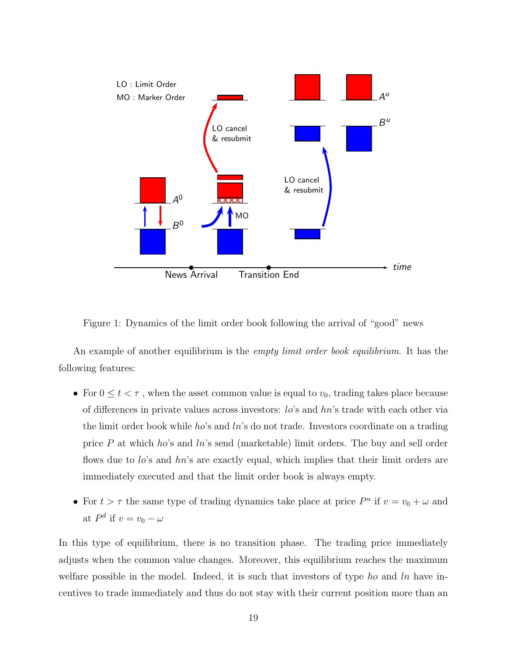

<span id="page-20-0"></span>Figure 1: Dynamics of the limit order book following the arrival of "good" news

An example of another equilibrium is the *empty limit order book equilibrium*. It has the following features:

- For  $0 \le t < \tau$ , when the asset common value is equal to  $v_0$ , trading takes place because of differences in private values across investors: lo's and hn's trade with each other via the limit order book while ho's and  $ln$ 's do not trade. Investors coordinate on a trading price P at which ho's and ln's send (marketable) limit orders. The buy and sell order flows due to  $lo$ 's and  $hn$ 's are exactly equal, which implies that their limit orders are immediately executed and that the limit order book is always empty.
- For  $t > \tau$  the same type of trading dynamics take place at price  $P^u$  if  $v = v_0 + \omega$  and at  $P^d$  if  $v = v_0 - \omega$

In this type of equilibrium, there is no transition phase. The trading price immediately adjusts when the common value changes. Moreover, this equilibrium reaches the maximum welfare possible in the model. Indeed, it is such that investors of type ho and  $\ln$  have incentives to trade immediately and thus do not stay with their current position more than an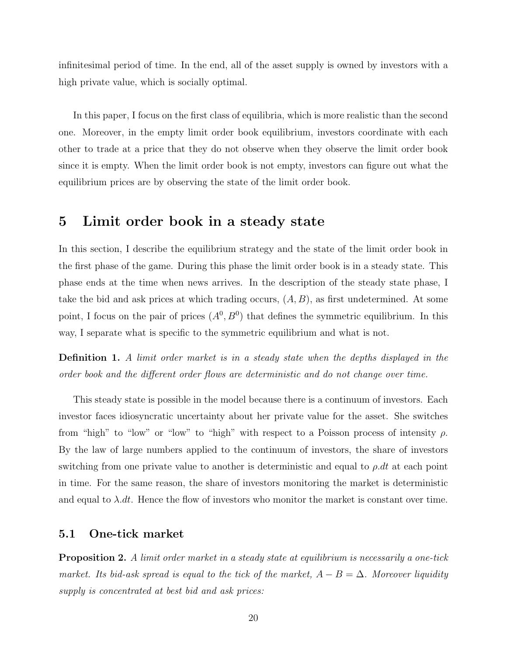infinitesimal period of time. In the end, all of the asset supply is owned by investors with a high private value, which is socially optimal.

In this paper, I focus on the first class of equilibria, which is more realistic than the second one. Moreover, in the empty limit order book equilibrium, investors coordinate with each other to trade at a price that they do not observe when they observe the limit order book since it is empty. When the limit order book is not empty, investors can figure out what the equilibrium prices are by observing the state of the limit order book.

## <span id="page-21-0"></span>5 Limit order book in a steady state

In this section, I describe the equilibrium strategy and the state of the limit order book in the first phase of the game. During this phase the limit order book is in a steady state. This phase ends at the time when news arrives. In the description of the steady state phase, I take the bid and ask prices at which trading occurs,  $(A, B)$ , as first undetermined. At some point, I focus on the pair of prices  $(A^0, B^0)$  that defines the symmetric equilibrium. In this way, I separate what is specific to the symmetric equilibrium and what is not.

Definition 1. A limit order market is in a steady state when the depths displayed in the order book and the different order flows are deterministic and do not change over time.

This steady state is possible in the model because there is a continuum of investors. Each investor faces idiosyncratic uncertainty about her private value for the asset. She switches from "high" to "low" or "low" to "high" with respect to a Poisson process of intensity  $\rho$ . By the law of large numbers applied to the continuum of investors, the share of investors switching from one private value to another is deterministic and equal to  $\rho \, dt$  at each point in time. For the same reason, the share of investors monitoring the market is deterministic and equal to  $\lambda$ .dt. Hence the flow of investors who monitor the market is constant over time.

#### 5.1 One-tick market

<span id="page-21-1"></span>**Proposition 2.** A limit order market in a steady state at equilibrium is necessarily a one-tick market. Its bid-ask spread is equal to the tick of the market,  $A - B = \Delta$ . Moreover liquidity supply is concentrated at best bid and ask prices: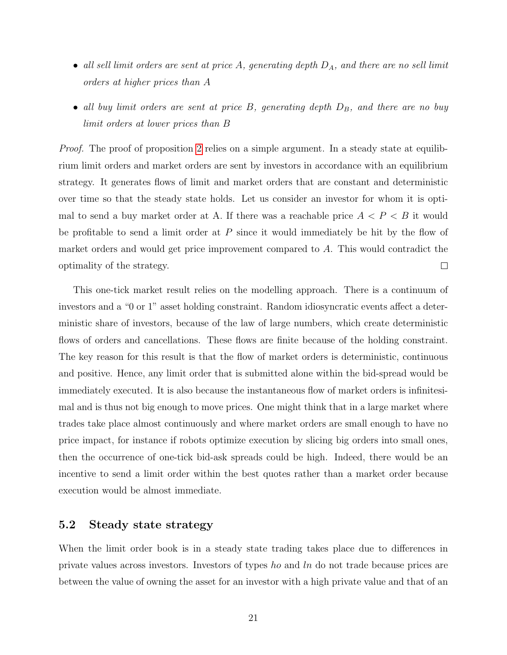- all sell limit orders are sent at price A, generating depth  $D_A$ , and there are no sell limit orders at higher prices than A
- all buy limit orders are sent at price  $B$ , generating depth  $D_B$ , and there are no buy limit orders at lower prices than B

Proof. The proof of proposition [2](#page-21-1) relies on a simple argument. In a steady state at equilibrium limit orders and market orders are sent by investors in accordance with an equilibrium strategy. It generates flows of limit and market orders that are constant and deterministic over time so that the steady state holds. Let us consider an investor for whom it is optimal to send a buy market order at A. If there was a reachable price  $A < P < B$  it would be profitable to send a limit order at  $P$  since it would immediately be hit by the flow of market orders and would get price improvement compared to A. This would contradict the  $\Box$ optimality of the strategy.

This one-tick market result relies on the modelling approach. There is a continuum of investors and a "0 or 1" asset holding constraint. Random idiosyncratic events affect a deterministic share of investors, because of the law of large numbers, which create deterministic flows of orders and cancellations. These flows are finite because of the holding constraint. The key reason for this result is that the flow of market orders is deterministic, continuous and positive. Hence, any limit order that is submitted alone within the bid-spread would be immediately executed. It is also because the instantaneous flow of market orders is infinitesimal and is thus not big enough to move prices. One might think that in a large market where trades take place almost continuously and where market orders are small enough to have no price impact, for instance if robots optimize execution by slicing big orders into small ones, then the occurrence of one-tick bid-ask spreads could be high. Indeed, there would be an incentive to send a limit order within the best quotes rather than a market order because execution would be almost immediate.

#### 5.2 Steady state strategy

When the limit order book is in a steady state trading takes place due to differences in private values across investors. Investors of types ho and ln do not trade because prices are between the value of owning the asset for an investor with a high private value and that of an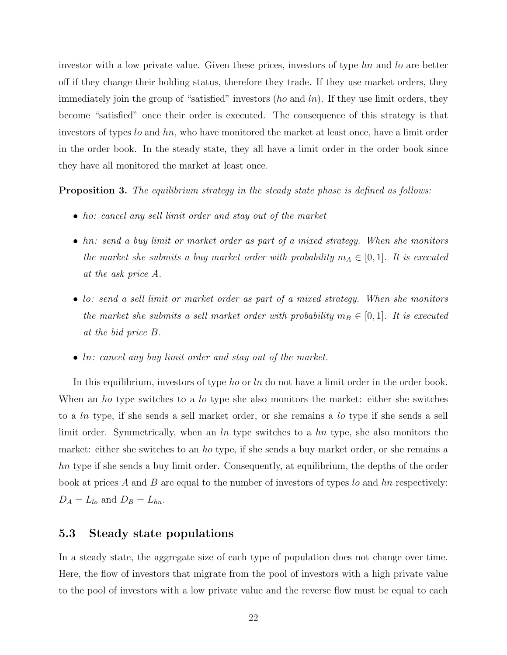investor with a low private value. Given these prices, investors of type hn and lo are better off if they change their holding status, therefore they trade. If they use market orders, they immediately join the group of "satisfied" investors  $(ho \text{ and } ln)$ . If they use limit orders, they become "satisfied" once their order is executed. The consequence of this strategy is that investors of types lo and hn, who have monitored the market at least once, have a limit order in the order book. In the steady state, they all have a limit order in the order book since they have all monitored the market at least once.

<span id="page-23-0"></span>**Proposition 3.** The equilibrium strategy in the steady state phase is defined as follows:

- ho: cancel any sell limit order and stay out of the market
- hn: send a buy limit or market order as part of a mixed strategy. When she monitors the market she submits a buy market order with probability  $m_A \in [0,1]$ . It is executed at the ask price A.
- lo: send a sell limit or market order as part of a mixed strategy. When she monitors the market she submits a sell market order with probability  $m_B \in [0, 1]$ . It is executed at the bid price B.
- In: cancel any buy limit order and stay out of the market.

In this equilibrium, investors of type ho or ln do not have a limit order in the order book. When an ho type switches to a lo type she also monitors the market: either she switches to a ln type, if she sends a sell market order, or she remains a lo type if she sends a sell limit order. Symmetrically, when an  $ln$  type switches to a  $hn$  type, she also monitors the market: either she switches to an ho type, if she sends a buy market order, or she remains a hn type if she sends a buy limit order. Consequently, at equilibrium, the depths of the order book at prices A and B are equal to the number of investors of types  $l_0$  and  $hn$  respectively:  $D_A = L_{lo}$  and  $D_B = L_{hn}$ .

#### 5.3 Steady state populations

In a steady state, the aggregate size of each type of population does not change over time. Here, the flow of investors that migrate from the pool of investors with a high private value to the pool of investors with a low private value and the reverse flow must be equal to each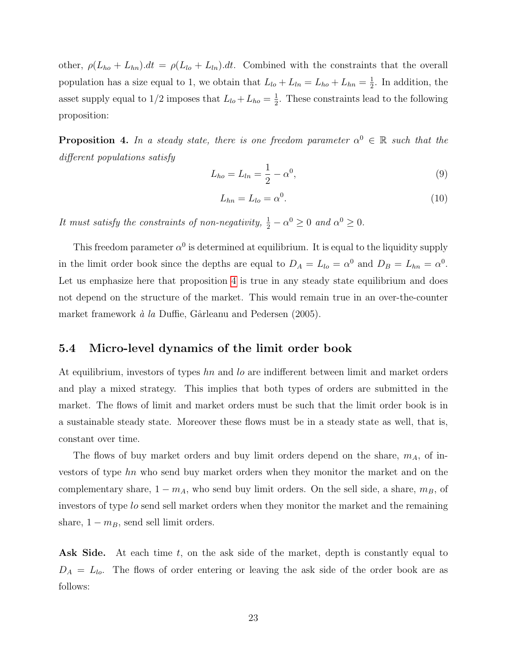other,  $\rho(L_{ho} + L_{hn}) dt = \rho(L_{lo} + L_{ln}) dt$ . Combined with the constraints that the overall population has a size equal to 1, we obtain that  $L_{lo} + L_{ln} = L_{ho} + L_{hn} = \frac{1}{2}$  $\frac{1}{2}$ . In addition, the asset supply equal to  $1/2$  imposes that  $L_{lo} + L_{ho} = \frac{1}{2}$  $\frac{1}{2}$ . These constraints lead to the following proposition:

<span id="page-24-0"></span>**Proposition 4.** In a steady state, there is one freedom parameter  $\alpha^0 \in \mathbb{R}$  such that the different populations satisfy

$$
L_{ho} = L_{ln} = \frac{1}{2} - \alpha^0,
$$
\n(9)

$$
L_{hn} = L_{lo} = \alpha^0. \tag{10}
$$

It must satisfy the constraints of non-negativity,  $\frac{1}{2} - \alpha^0 \geq 0$  and  $\alpha^0 \geq 0$ .

This freedom parameter  $\alpha^0$  is determined at equilibrium. It is equal to the liquidity supply in the limit order book since the depths are equal to  $D_A = L_{lo} = \alpha^0$  and  $D_B = L_{hn} = \alpha^0$ . Let us emphasize here that proposition [4](#page-24-0) is true in any steady state equilibrium and does not depend on the structure of the market. This would remain true in an over-the-counter market framework  $\dot{a}$  la Duffie, Gârleanu and Pedersen (2005).

#### 5.4 Micro-level dynamics of the limit order book

At equilibrium, investors of types hn and lo are indifferent between limit and market orders and play a mixed strategy. This implies that both types of orders are submitted in the market. The flows of limit and market orders must be such that the limit order book is in a sustainable steady state. Moreover these flows must be in a steady state as well, that is, constant over time.

The flows of buy market orders and buy limit orders depend on the share,  $m_A$ , of investors of type hn who send buy market orders when they monitor the market and on the complementary share,  $1 - m_A$ , who send buy limit orders. On the sell side, a share,  $m_B$ , of investors of type lo send sell market orders when they monitor the market and the remaining share,  $1 - m_B$ , send sell limit orders.

Ask Side. At each time t, on the ask side of the market, depth is constantly equal to  $D_A = L_{lo}$ . The flows of order entering or leaving the ask side of the order book are as follows: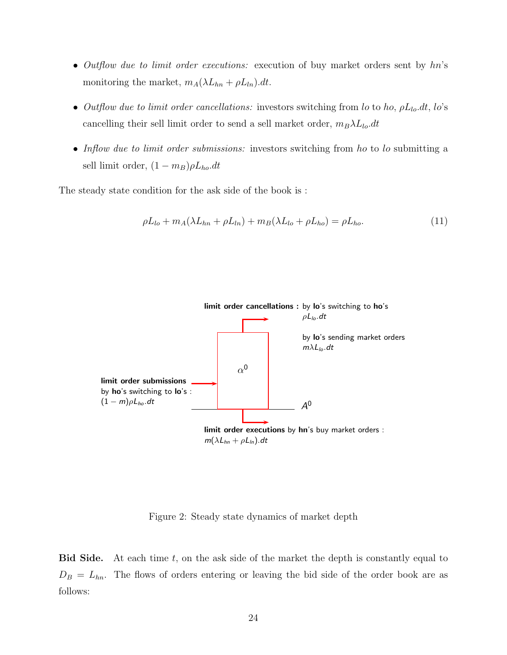- Outflow due to limit order executions: execution of buy market orders sent by hn's monitoring the market,  $m_A(\lambda L_{hn} + \rho L_{ln}).dt$ .
- Outflow due to limit order cancellations: investors switching from lo to ho,  $\rho L_{lo}.dt$ , lo's cancelling their sell limit order to send a sell market order,  $m_B\lambda L_{lo}.dt$
- Inflow due to limit order submissions: investors switching from ho to lo submitting a sell limit order,  $(1 - m_B)\rho L_{ho}.dt$

The steady state condition for the ask side of the book is :

<span id="page-25-0"></span>
$$
\rho L_{lo} + m_A(\lambda L_{hn} + \rho L_{ln}) + m_B(\lambda L_{lo} + \rho L_{ho}) = \rho L_{ho}.
$$
\n(11)



Figure 2: Steady state dynamics of market depth

**Bid Side.** At each time  $t$ , on the ask side of the market the depth is constantly equal to  $D_B = L_{hn}$ . The flows of orders entering or leaving the bid side of the order book are as follows: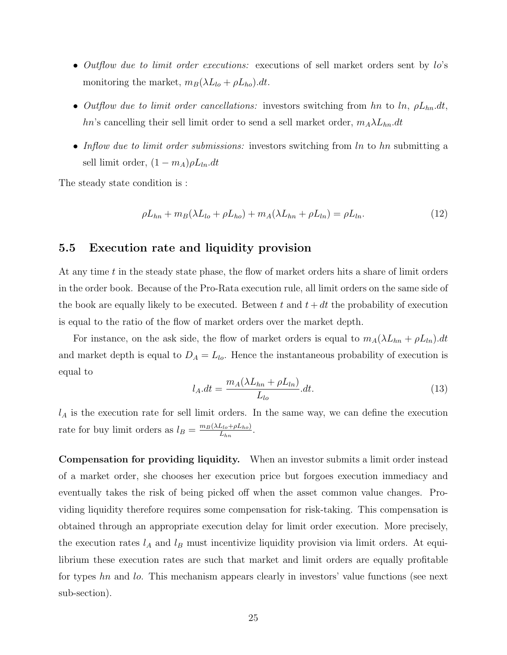- Outflow due to limit order executions: executions of sell market orders sent by lo's monitoring the market,  $m_B(\lambda L_{lo} + \rho L_{ho})$ .dt.
- Outflow due to limit order cancellations: investors switching from hn to  $ln$ ,  $\rho L_{hn}.dt$ , hn's cancelling their sell limit order to send a sell market order,  $m_A \lambda L_{hn}.dt$
- Inflow due to limit order submissions: investors switching from ln to hn submitting a sell limit order,  $(1 - m_A)\rho L_{ln}.dt$

The steady state condition is :

<span id="page-26-0"></span>
$$
\rho L_{hn} + m_B(\lambda L_{lo} + \rho L_{ho}) + m_A(\lambda L_{hn} + \rho L_{ln}) = \rho L_{ln}.
$$
\n(12)

#### 5.5 Execution rate and liquidity provision

At any time t in the steady state phase, the flow of market orders hits a share of limit orders in the order book. Because of the Pro-Rata execution rule, all limit orders on the same side of the book are equally likely to be executed. Between t and  $t + dt$  the probability of execution is equal to the ratio of the flow of market orders over the market depth.

For instance, on the ask side, the flow of market orders is equal to  $m_A(\lambda L_{hn} + \rho L_{ln}).dt$ and market depth is equal to  $D_A = L_{lo}$ . Hence the instantaneous probability of execution is equal to

$$
l_A.dt = \frac{m_A(\lambda L_{hn} + \rho L_{ln})}{L_{lo}}.dt.
$$
\n(13)

 $l_A$  is the execution rate for sell limit orders. In the same way, we can define the execution rate for buy limit orders as  $l_B = \frac{m_B(\lambda L_{lo} + \rho L_{ho})}{L_{br}}$  $\frac{L_{lo} + \rho L_{ho)}}{L_{hn}}$ .

Compensation for providing liquidity. When an investor submits a limit order instead of a market order, she chooses her execution price but forgoes execution immediacy and eventually takes the risk of being picked off when the asset common value changes. Providing liquidity therefore requires some compensation for risk-taking. This compensation is obtained through an appropriate execution delay for limit order execution. More precisely, the execution rates  $l_A$  and  $l_B$  must incentivize liquidity provision via limit orders. At equilibrium these execution rates are such that market and limit orders are equally profitable for types hn and lo. This mechanism appears clearly in investors' value functions (see next sub-section).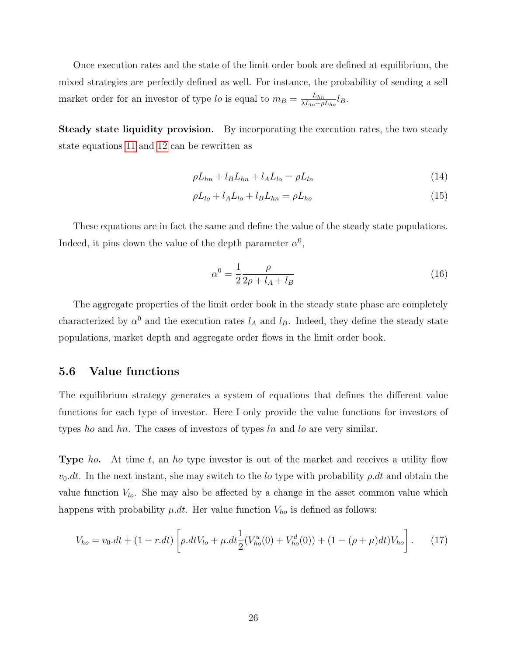Once execution rates and the state of the limit order book are defined at equilibrium, the mixed strategies are perfectly defined as well. For instance, the probability of sending a sell market order for an investor of type lo is equal to  $m_B = \frac{L_{hn}}{\lambda L_{lab} + \rho}$  $\frac{L_{hn}}{\lambda L_{lo} + \rho L_{ho}} l_B.$ 

Steady state liquidity provision. By incorporating the execution rates, the two steady state equations [11](#page-25-0) and [12](#page-26-0) can be rewritten as

$$
\rho L_{hn} + l_B L_{hn} + l_A L_{lo} = \rho L_{ln} \tag{14}
$$

$$
\rho L_{lo} + l_A L_{lo} + l_B L_{hn} = \rho L_{ho} \tag{15}
$$

These equations are in fact the same and define the value of the steady state populations. Indeed, it pins down the value of the depth parameter  $\alpha^0$ ,

<span id="page-27-1"></span>
$$
\alpha^0 = \frac{1}{2} \frac{\rho}{2\rho + l_A + l_B} \tag{16}
$$

The aggregate properties of the limit order book in the steady state phase are completely characterized by  $\alpha^0$  and the execution rates  $l_A$  and  $l_B$ . Indeed, they define the steady state populations, market depth and aggregate order flows in the limit order book.

#### 5.6 Value functions

The equilibrium strategy generates a system of equations that defines the different value functions for each type of investor. Here I only provide the value functions for investors of types ho and hn. The cases of investors of types  $ln$  and  $ln$  are very similar.

**Type** ho. At time t, an ho type investor is out of the market and receives a utility flow  $v_0$ .dt. In the next instant, she may switch to the lo type with probability  $\rho$ .dt and obtain the value function  $V_{lo}$ . She may also be affected by a change in the asset common value which happens with probability  $\mu \, dt$ . Her value function  $V_{ho}$  is defined as follows:

<span id="page-27-0"></span>
$$
V_{ho} = v_0 \cdot dt + (1 - r \cdot dt) \left[ \rho \cdot dt V_{lo} + \mu \cdot dt \frac{1}{2} (V_{ho}^u(0) + V_{ho}^d(0)) + (1 - (\rho + \mu) dt) V_{ho} \right].
$$
 (17)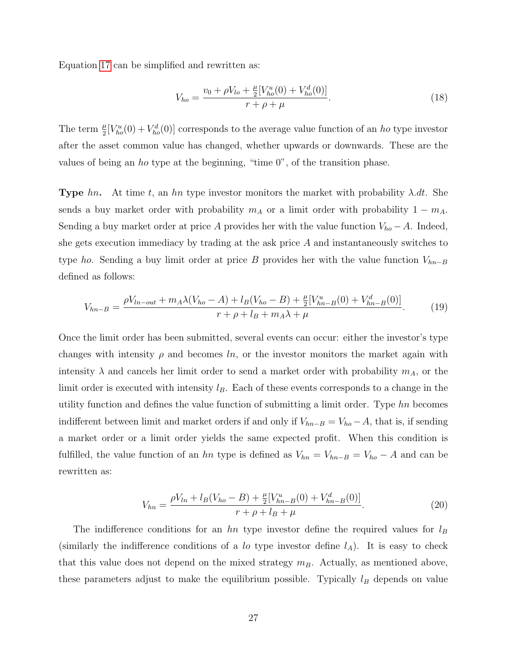Equation [17](#page-27-0) can be simplified and rewritten as:

$$
V_{ho} = \frac{v_0 + \rho V_{lo} + \frac{\mu}{2} [V_{ho}^u(0) + V_{ho}^d(0)]}{r + \rho + \mu}.
$$
\n(18)

The term  $\frac{\mu}{2}[V_{ho}^u(0) + V_{ho}^d(0)]$  corresponds to the average value function of an ho type investor after the asset common value has changed, whether upwards or downwards. These are the values of being an ho type at the beginning, "time 0", of the transition phase.

**Type** hn. At time t, an hn type investor monitors the market with probability  $\lambda$ .dt. She sends a buy market order with probability  $m_A$  or a limit order with probability  $1 - m_A$ . Sending a buy market order at price A provides her with the value function  $V_{ho} - A$ . Indeed, she gets execution immediacy by trading at the ask price A and instantaneously switches to type ho. Sending a buy limit order at price B provides her with the value function  $V_{hn-B}$ defined as follows:

$$
V_{hn-B} = \frac{\rho V_{ln-out} + m_A \lambda (V_{ho} - A) + l_B (V_{ho} - B) + \frac{\mu}{2} [V_{hn-B}^u(0) + V_{hn-B}^d(0)]}{r + \rho + l_B + m_A \lambda + \mu}.
$$
 (19)

Once the limit order has been submitted, several events can occur: either the investor's type changes with intensity  $\rho$  and becomes ln, or the investor monitors the market again with intensity  $\lambda$  and cancels her limit order to send a market order with probability  $m_A$ , or the limit order is executed with intensity  $l_B$ . Each of these events corresponds to a change in the utility function and defines the value function of submitting a limit order. Type hn becomes indifferent between limit and market orders if and only if  $V_{hn-B} = V_{ho} - A$ , that is, if sending a market order or a limit order yields the same expected profit. When this condition is fulfilled, the value function of an hn type is defined as  $V_{hn} = V_{hn-B} = V_{ho} - A$  and can be rewritten as:

<span id="page-28-0"></span>
$$
V_{hn} = \frac{\rho V_{ln} + l_B (V_{ho} - B) + \frac{\mu}{2} [V_{hn-B}^u(0) + V_{hn-B}^d(0)]}{r + \rho + l_B + \mu}.
$$
\n(20)

The indifference conditions for an hn type investor define the required values for  $l_B$ (similarly the indifference conditions of a lo type investor define  $l_A$ ). It is easy to check that this value does not depend on the mixed strategy  $m_B$ . Actually, as mentioned above, these parameters adjust to make the equilibrium possible. Typically  $l_B$  depends on value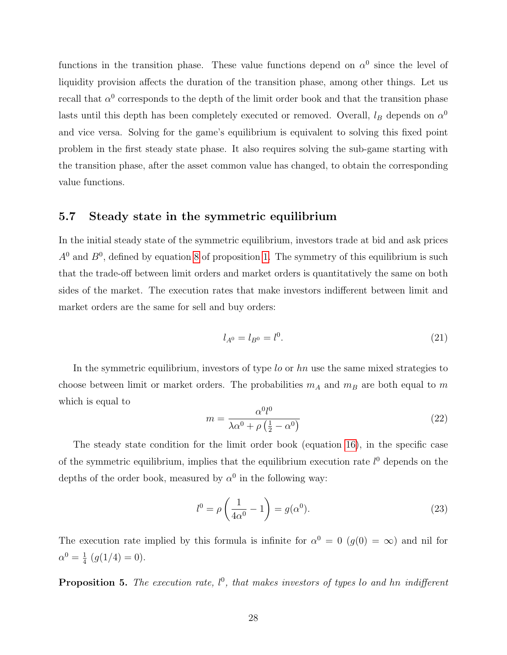functions in the transition phase. These value functions depend on  $\alpha^0$  since the level of liquidity provision affects the duration of the transition phase, among other things. Let us recall that  $\alpha^0$  corresponds to the depth of the limit order book and that the transition phase lasts until this depth has been completely executed or removed. Overall,  $l_B$  depends on  $\alpha^0$ and vice versa. Solving for the game's equilibrium is equivalent to solving this fixed point problem in the first steady state phase. It also requires solving the sub-game starting with the transition phase, after the asset common value has changed, to obtain the corresponding value functions.

#### 5.7 Steady state in the symmetric equilibrium

In the initial steady state of the symmetric equilibrium, investors trade at bid and ask prices  $A<sup>0</sup>$  and  $B<sup>0</sup>$ , defined by equation [8](#page-17-2) of proposition [1.](#page-17-1) The symmetry of this equilibrium is such that the trade-off between limit orders and market orders is quantitatively the same on both sides of the market. The execution rates that make investors indifferent between limit and market orders are the same for sell and buy orders:

$$
l_{A^0} = l_{B^0} = l^0. \tag{21}
$$

In the symmetric equilibrium, investors of type lo or hn use the same mixed strategies to choose between limit or market orders. The probabilities  $m_A$  and  $m_B$  are both equal to m which is equal to

$$
m = \frac{\alpha^0 l^0}{\lambda \alpha^0 + \rho \left(\frac{1}{2} - \alpha^0\right)}\tag{22}
$$

The steady state condition for the limit order book (equation [16\)](#page-27-1), in the specific case of the symmetric equilibrium, implies that the equilibrium execution rate  $l^0$  depends on the depths of the order book, measured by  $\alpha^0$  in the following way:

$$
l^0 = \rho \left(\frac{1}{4\alpha^0} - 1\right) = g(\alpha^0). \tag{23}
$$

The execution rate implied by this formula is infinite for  $\alpha^0 = 0$  ( $g(0) = \infty$ ) and nil for  $\alpha^0 = \frac{1}{4}$  $\frac{1}{4}$   $(g(1/4) = 0).$ 

<span id="page-29-0"></span>**Proposition 5.** The execution rate,  $l^0$ , that makes investors of types lo and hn indifferent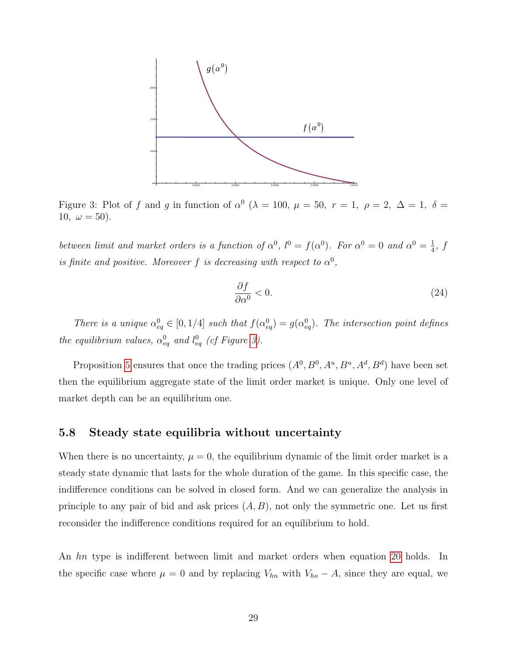

<span id="page-30-0"></span>Figure 3: Plot of f and g in function of  $\alpha^0$  ( $\lambda = 100$ ,  $\mu = 50$ ,  $r = 1$ ,  $\rho = 2$ ,  $\Delta = 1$ ,  $\delta =$ 10,  $\omega = 50$ ).

between limit and market orders is a function of  $\alpha^0$ ,  $l^0 = f(\alpha^0)$ . For  $\alpha^0 = 0$  and  $\alpha^0 = \frac{1}{4}$  $\frac{1}{4}$ , f is finite and positive. Moreover f is decreasing with respect to  $\alpha^0$ ,

$$
\frac{\partial f}{\partial \alpha^0} < 0. \tag{24}
$$

There is a unique  $\alpha_{eq}^0 \in [0, 1/4]$  such that  $f(\alpha_{eq}^0) = g(\alpha_{eq}^0)$ . The intersection point defines the equilibrium values,  $\alpha_{eq}^0$  and  $l_{eq}^0$  (cf Figure [3\)](#page-30-0).

Proposition [5](#page-29-0) ensures that once the trading prices  $(A^0, B^0, A^u, B^u, A^d, B^d)$  have been set then the equilibrium aggregate state of the limit order market is unique. Only one level of market depth can be an equilibrium one.

#### 5.8 Steady state equilibria without uncertainty

When there is no uncertainty,  $\mu = 0$ , the equilibrium dynamic of the limit order market is a steady state dynamic that lasts for the whole duration of the game. In this specific case, the indifference conditions can be solved in closed form. And we can generalize the analysis in principle to any pair of bid and ask prices  $(A, B)$ , not only the symmetric one. Let us first reconsider the indifference conditions required for an equilibrium to hold.

An hn type is indifferent between limit and market orders when equation [20](#page-28-0) holds. In the specific case where  $\mu = 0$  and by replacing  $V_{hn}$  with  $V_{ho} - A$ , since they are equal, we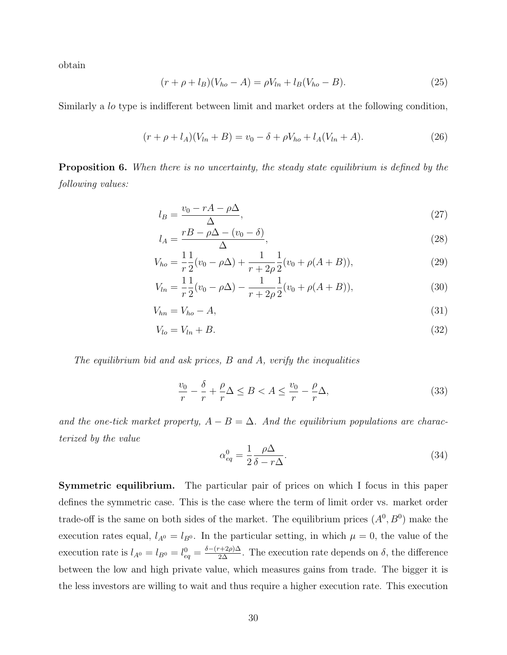obtain

$$
(r + \rho + l_B)(V_{ho} - A) = \rho V_{ln} + l_B(V_{ho} - B). \tag{25}
$$

Similarly a lo type is indifferent between limit and market orders at the following condition,

$$
(r + \rho + l_A)(V_{ln} + B) = v_0 - \delta + \rho V_{ho} + l_A(V_{ln} + A). \tag{26}
$$

<span id="page-31-1"></span>**Proposition 6.** When there is no uncertainty, the steady state equilibrium is defined by the following values:

$$
l_B = \frac{v_0 - rA - \rho\Delta}{\Delta},\tag{27}
$$

$$
l_A = \frac{rB - \rho\Delta - (v_0 - \delta)}{\Delta},\tag{28}
$$

$$
V_{ho} = \frac{1}{r} \frac{1}{2} (v_0 - \rho \Delta) + \frac{1}{r + 2\rho} \frac{1}{2} (v_0 + \rho (A + B)),
$$
\n(29)

$$
V_{ln} = \frac{1}{r} \frac{1}{2} (v_0 - \rho \Delta) - \frac{1}{r + 2\rho} \frac{1}{2} (v_0 + \rho (A + B)),
$$
\n(30)

$$
V_{hn} = V_{ho} - A,\tag{31}
$$

$$
V_{lo} = V_{ln} + B. \tag{32}
$$

The equilibrium bid and ask prices, B and A, verify the inequalities

<span id="page-31-0"></span>
$$
\frac{v_0}{r} - \frac{\delta}{r} + \frac{\rho}{r}\Delta \le B < A \le \frac{v_0}{r} - \frac{\rho}{r}\Delta,\tag{33}
$$

and the one-tick market property,  $A - B = \Delta$ . And the equilibrium populations are characterized by the value

$$
\alpha_{eq}^0 = \frac{1}{2} \frac{\rho \Delta}{\delta - r \Delta}.
$$
\n(34)

Symmetric equilibrium. The particular pair of prices on which I focus in this paper defines the symmetric case. This is the case where the term of limit order vs. market order trade-off is the same on both sides of the market. The equilibrium prices  $(A^0, B^0)$  make the execution rates equal,  $l_{A^0} = l_{B^0}$ . In the particular setting, in which  $\mu = 0$ , the value of the execution rate is  $l_{A^0} = l_{B^0} = l_{eq}^0 = \frac{\delta - (r+2\rho)\Delta}{2\Delta}$ . The execution rate depends on  $\delta$ , the difference between the low and high private value, which measures gains from trade. The bigger it is the less investors are willing to wait and thus require a higher execution rate. This execution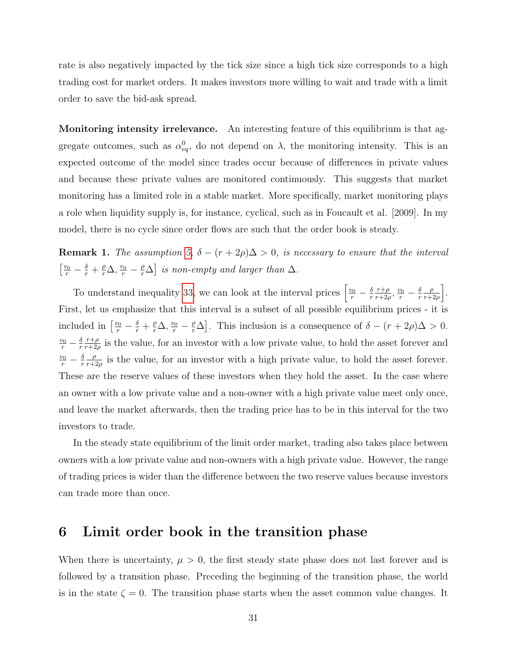rate is also negatively impacted by the tick size since a high tick size corresponds to a high trading cost for market orders. It makes investors more willing to wait and trade with a limit order to save the bid-ask spread.

Monitoring intensity irrelevance. An interesting feature of this equilibrium is that aggregate outcomes, such as  $\alpha_{eq}^0$ , do not depend on  $\lambda$ , the monitoring intensity. This is an expected outcome of the model since trades occur because of differences in private values and because these private values are monitored continuously. This suggests that market monitoring has a limited role in a stable market. More specifically, market monitoring plays a role when liquidity supply is, for instance, cyclical, such as in Foucault et al. [2009]. In my model, there is no cycle since order flows are such that the order book is steady.

**Remark 1.** The assumption [5,](#page-14-2)  $\delta - (r + 2\rho)\Delta > 0$ , is necessary to ensure that the interval  $\left[\frac{v_0}{r} - \frac{\delta}{r} + \frac{\rho}{r}\Delta, \frac{v_0}{r} - \frac{\rho}{r}\Delta\right]$  is non-empty and larger than  $\Delta$ .

To understand inequality [33,](#page-31-0) we can look at the interval prices  $\left[\frac{v_0}{r} - \frac{\delta}{r}\right]$ r  $r+\rho$  $\frac{r+\rho}{r+2\rho}, \frac{v_0}{r} - \frac{\delta}{r}$ r ρ  $\frac{\rho}{r+2\rho}$ . First, let us emphasize that this interval is a subset of all possible equilibrium prices - it is included in  $\left[\frac{v_0}{r} - \frac{\delta}{r} + \frac{\rho}{r}\Delta, \frac{v_0}{r} - \frac{\rho}{r}\Delta\right]$ . This inclusion is a consequence of  $\delta - (r + 2\rho)\Delta > 0$ .  $\frac{v_0}{r} - \frac{\delta}{r}$ r  $r+\rho$  $\frac{r+\rho}{r+2\rho}$  is the value, for an investor with a low private value, to hold the asset forever and  $\frac{v_0}{r} - \frac{\delta}{r}$ r ρ  $\frac{\rho}{r+2\rho}$  is the value, for an investor with a high private value, to hold the asset forever. These are the reserve values of these investors when they hold the asset. In the case where an owner with a low private value and a non-owner with a high private value meet only once, and leave the market afterwards, then the trading price has to be in this interval for the two investors to trade.

In the steady state equilibrium of the limit order market, trading also takes place between owners with a low private value and non-owners with a high private value. However, the range of trading prices is wider than the difference between the two reserve values because investors can trade more than once.

# <span id="page-32-0"></span>6 Limit order book in the transition phase

When there is uncertainty,  $\mu > 0$ , the first steady state phase does not last forever and is followed by a transition phase. Preceding the beginning of the transition phase, the world is in the state  $\zeta = 0$ . The transition phase starts when the asset common value changes. It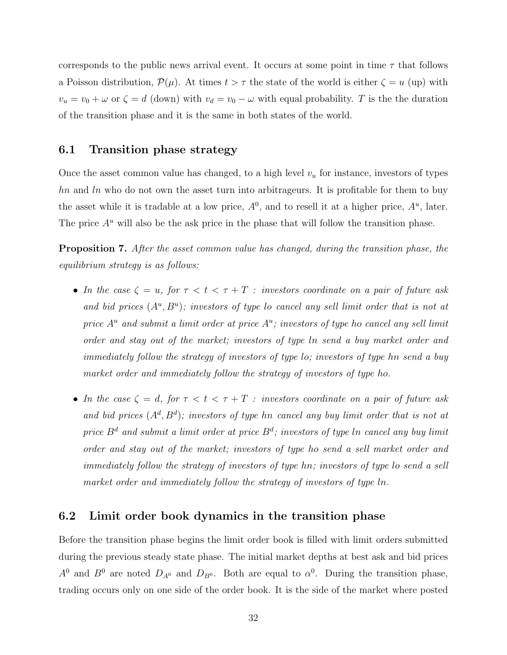corresponds to the public news arrival event. It occurs at some point in time  $\tau$  that follows a Poisson distribution,  $\mathcal{P}(\mu)$ . At times  $t > \tau$  the state of the world is either  $\zeta = u$  (up) with  $v_u = v_0 + \omega$  or  $\zeta = d$  (down) with  $v_d = v_0 - \omega$  with equal probability. T is the the duration of the transition phase and it is the same in both states of the world.

#### 6.1 Transition phase strategy

Once the asset common value has changed, to a high level  $v<sub>u</sub>$  for instance, investors of types  $hn$  and  $ln$  who do not own the asset turn into arbitrageurs. It is profitable for them to buy the asset while it is tradable at a low price,  $A^0$ , and to resell it at a higher price,  $A^u$ , later. The price  $A^u$  will also be the ask price in the phase that will follow the transition phase.

<span id="page-33-0"></span>Proposition 7. After the asset common value has changed, during the transition phase, the equilibrium strategy is as follows:

- In the case  $\zeta = u$ , for  $\tau < t < \tau + T$  : investors coordinate on a pair of future ask and bid prices  $(A^u, B^u)$ ; investors of type lo cancel any sell limit order that is not at price  $A^u$  and submit a limit order at price  $A^u$ ; investors of type ho cancel any sell limit order and stay out of the market; investors of type ln send a buy market order and immediately follow the strategy of investors of type lo; investors of type hn send a buy market order and immediately follow the strategy of investors of type ho.
- In the case  $\zeta = d$ , for  $\tau < t < \tau + T$  : investors coordinate on a pair of future ask and bid prices  $(A^d, B^d)$ ; investors of type hn cancel any buy limit order that is not at price  $B^d$  and submit a limit order at price  $B^d$ ; investors of type  $ln$  cancel any buy limit order and stay out of the market; investors of type ho send a sell market order and immediately follow the strategy of investors of type hn; investors of type lo send a sell market order and immediately follow the strategy of investors of type ln.

#### 6.2 Limit order book dynamics in the transition phase

Before the transition phase begins the limit order book is filled with limit orders submitted during the previous steady state phase. The initial market depths at best ask and bid prices  $A^0$  and  $B^0$  are noted  $D_{A^0}$  and  $D_{B^0}$ . Both are equal to  $\alpha^0$ . During the transition phase, trading occurs only on one side of the order book. It is the side of the market where posted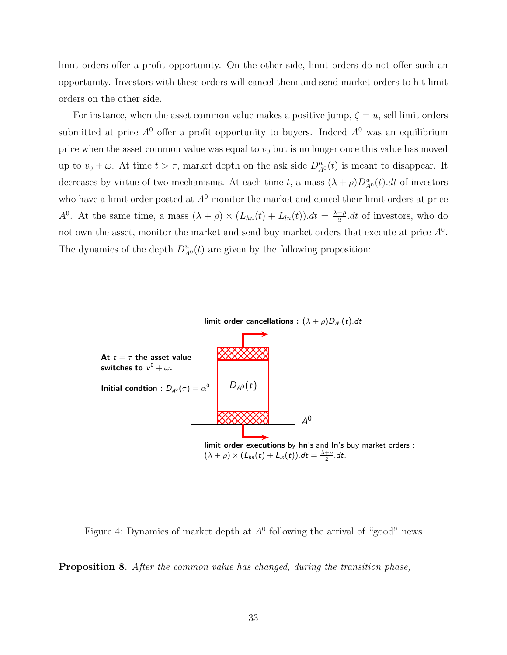limit orders offer a profit opportunity. On the other side, limit orders do not offer such an opportunity. Investors with these orders will cancel them and send market orders to hit limit orders on the other side.

For instance, when the asset common value makes a positive jump,  $\zeta = u$ , sell limit orders submitted at price  $A^0$  offer a profit opportunity to buyers. Indeed  $A^0$  was an equilibrium price when the asset common value was equal to  $v_0$  but is no longer once this value has moved up to  $v_0 + \omega$ . At time  $t > \tau$ , market depth on the ask side  $D_{A^0}^u(t)$  is meant to disappear. It decreases by virtue of two mechanisms. At each time t, a mass  $(\lambda + \rho)D_{A^0}^u(t) dt$  of investors who have a limit order posted at  $A<sup>0</sup>$  monitor the market and cancel their limit orders at price  $A^0$ . At the same time, a mass  $(\lambda + \rho) \times (L_{hn}(t) + L_{ln}(t)) dt = \frac{\lambda + \rho}{2}$  $\frac{+\rho}{2}$ .dt of investors, who do not own the asset, monitor the market and send buy market orders that execute at price  $A<sup>0</sup>$ . The dynamics of the depth  $D_{A^0}^u(t)$  are given by the following proposition:



Figure 4: Dynamics of market depth at  $A<sup>0</sup>$  following the arrival of "good" news

<span id="page-34-0"></span>Proposition 8. After the common value has changed, during the transition phase,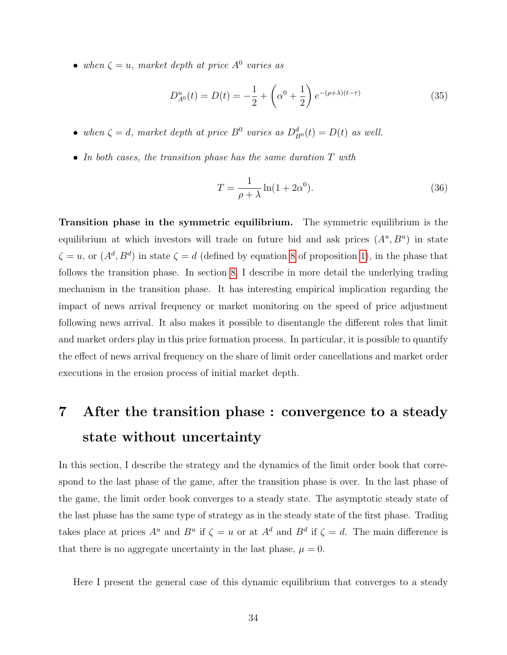• when  $\zeta = u$ , market depth at price  $A^0$  varies as

$$
D_{A^0}^u(t) = D(t) = -\frac{1}{2} + \left(\alpha^0 + \frac{1}{2}\right)e^{-(\rho + \lambda)(t-\tau)}
$$
(35)

- when  $\zeta = d$ , market depth at price  $B^0$  varies as  $D_{B^0}^d(t) = D(t)$  as well.
- In both cases, the transition phase has the same duration  $T$  with

$$
T = \frac{1}{\rho + \lambda} \ln(1 + 2\alpha^0). \tag{36}
$$

Transition phase in the symmetric equilibrium. The symmetric equilibrium is the equilibrium at which investors will trade on future bid and ask prices  $(A^u, B^u)$  in state  $\zeta = u$ , or  $(A^d, B^d)$  in state  $\zeta = d$  (defined by equation [8](#page-17-2) of proposition [1\)](#page-17-1), in the phase that follows the transition phase. In section [8,](#page-37-0) I describe in more detail the underlying trading mechanism in the transition phase. It has interesting empirical implication regarding the impact of news arrival frequency or market monitoring on the speed of price adjustment following news arrival. It also makes it possible to disentangle the different roles that limit and market orders play in this price formation process. In particular, it is possible to quantify the effect of news arrival frequency on the share of limit order cancellations and market order executions in the erosion process of initial market depth.

# <span id="page-35-0"></span>7 After the transition phase : convergence to a steady state without uncertainty

In this section, I describe the strategy and the dynamics of the limit order book that correspond to the last phase of the game, after the transition phase is over. In the last phase of the game, the limit order book converges to a steady state. The asymptotic steady state of the last phase has the same type of strategy as in the steady state of the first phase. Trading takes place at prices  $A^u$  and  $B^u$  if  $\zeta = u$  or at  $A^d$  and  $B^d$  if  $\zeta = d$ . The main difference is that there is no aggregate uncertainty in the last phase,  $\mu = 0$ .

Here I present the general case of this dynamic equilibrium that converges to a steady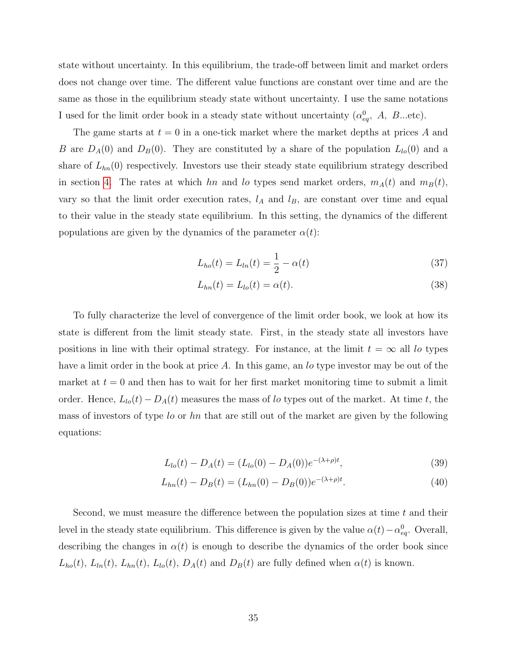state without uncertainty. In this equilibrium, the trade-off between limit and market orders does not change over time. The different value functions are constant over time and are the same as those in the equilibrium steady state without uncertainty. I use the same notations I used for the limit order book in a steady state without uncertainty  $(\alpha_{eq}^0, A, B...$ etc).

The game starts at  $t = 0$  in a one-tick market where the market depths at prices A and B are  $D_A(0)$  and  $D_B(0)$ . They are constituted by a share of the population  $L_{lo}(0)$  and a share of  $L_{hn}(0)$  respectively. Investors use their steady state equilibrium strategy described in section [4.](#page-17-0) The rates at which hn and lo types send market orders,  $m_A(t)$  and  $m_B(t)$ , vary so that the limit order execution rates,  $l_A$  and  $l_B$ , are constant over time and equal to their value in the steady state equilibrium. In this setting, the dynamics of the different populations are given by the dynamics of the parameter  $\alpha(t)$ :

$$
L_{ho}(t) = L_{ln}(t) = \frac{1}{2} - \alpha(t)
$$
\n(37)

$$
L_{hn}(t) = L_{lo}(t) = \alpha(t). \tag{38}
$$

To fully characterize the level of convergence of the limit order book, we look at how its state is different from the limit steady state. First, in the steady state all investors have positions in line with their optimal strategy. For instance, at the limit  $t = \infty$  all lo types have a limit order in the book at price A. In this game, an lo type investor may be out of the market at  $t = 0$  and then has to wait for her first market monitoring time to submit a limit order. Hence,  $L_{lo}(t) - D_A(t)$  measures the mass of lo types out of the market. At time t, the mass of investors of type lo or hn that are still out of the market are given by the following equations:

$$
L_{lo}(t) - D_A(t) = (L_{lo}(0) - D_A(0))e^{-(\lambda + \rho)t}, \qquad (39)
$$

$$
L_{hn}(t) - D_B(t) = (L_{hn}(0) - D_B(0))e^{-(\lambda + \rho)t}.
$$
\n(40)

Second, we must measure the difference between the population sizes at time  $t$  and their level in the steady state equilibrium. This difference is given by the value  $\alpha(t) - \alpha_{eq}^0$ . Overall, describing the changes in  $\alpha(t)$  is enough to describe the dynamics of the order book since  $L_{ho}(t)$ ,  $L_{ln}(t)$ ,  $L_{ln}(t)$ ,  $L_{lo}(t)$ ,  $D_A(t)$  and  $D_B(t)$  are fully defined when  $\alpha(t)$  is known.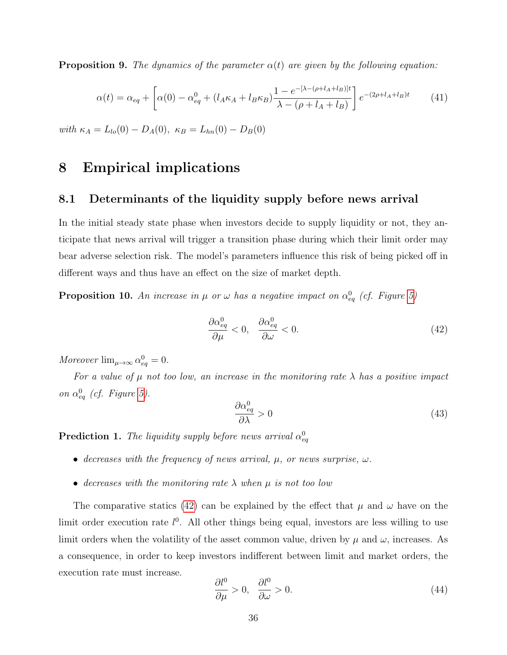<span id="page-37-1"></span>**Proposition 9.** The dynamics of the parameter  $\alpha(t)$  are given by the following equation:

$$
\alpha(t) = \alpha_{eq} + \left[ \alpha(0) - \alpha_{eq}^0 + (l_A \kappa_A + l_B \kappa_B) \frac{1 - e^{-[\lambda - (\rho + l_A + l_B)]t}}{\lambda - (\rho + l_A + l_B)} \right] e^{-(2\rho + l_A + l_B)t}
$$
(41)

with  $\kappa_A = L_{lo}(0) - D_A(0)$ ,  $\kappa_B = L_{hn}(0) - D_B(0)$ 

# <span id="page-37-0"></span>8 Empirical implications

### 8.1 Determinants of the liquidity supply before news arrival

In the initial steady state phase when investors decide to supply liquidity or not, they anticipate that news arrival will trigger a transition phase during which their limit order may bear adverse selection risk. The model's parameters influence this risk of being picked off in different ways and thus have an effect on the size of market depth.

<span id="page-37-3"></span>**Proposition 10.** An increase in  $\mu$  or  $\omega$  has a negative impact on  $\alpha_{eq}^0$  (cf. Figure [5\)](#page-38-0)

<span id="page-37-2"></span>
$$
\frac{\partial \alpha_{eq}^0}{\partial \mu} < 0, \quad \frac{\partial \alpha_{eq}^0}{\partial \omega} < 0. \tag{42}
$$

Moreover  $\lim_{\mu \to \infty} \alpha_{eq}^0 = 0$ .

For a value of  $\mu$  not too low, an increase in the monitoring rate  $\lambda$  has a positive impact on  $\alpha_{eq}^0$  (cf. Figure [5\)](#page-38-0).

$$
\frac{\partial \alpha_{eq}^0}{\partial \lambda} > 0 \tag{43}
$$

**Prediction 1.** The liquidity supply before news arrival  $\alpha_{eq}^0$ 

- decreases with the frequency of news arrival,  $\mu$ , or news surprise,  $\omega$ .
- decreases with the monitoring rate  $\lambda$  when  $\mu$  is not too low

The comparative statics [\(42\)](#page-37-2) can be explained by the effect that  $\mu$  and  $\omega$  have on the limit order execution rate  $l^0$ . All other things being equal, investors are less willing to use limit orders when the volatility of the asset common value, driven by  $\mu$  and  $\omega$ , increases. As a consequence, in order to keep investors indifferent between limit and market orders, the execution rate must increase.

$$
\frac{\partial l^0}{\partial \mu} > 0, \quad \frac{\partial l^0}{\partial \omega} > 0.
$$
\n(44)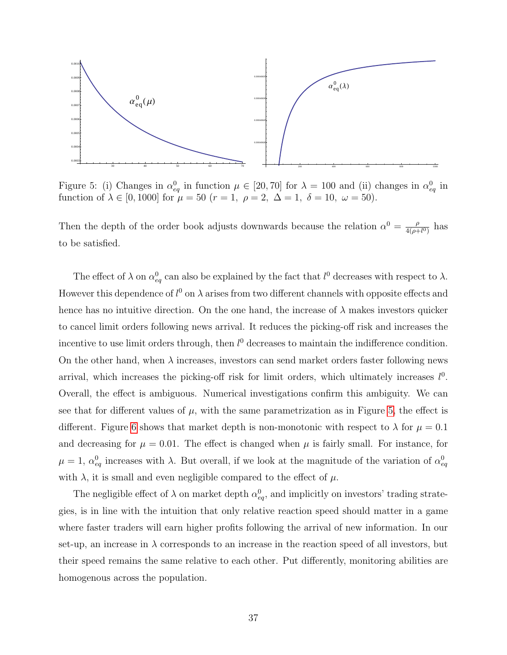

<span id="page-38-0"></span>Figure 5: (i) Changes in  $\alpha_{eq}^0$  in function  $\mu \in [20, 70]$  for  $\lambda = 100$  and (ii) changes in  $\alpha_{eq}^0$  in function of  $\lambda \in [0, 1000]$  for  $\mu = 50$   $(r = 1, \ \rho = 2, \ \Delta = 1, \ \delta = 10, \ \omega = 50)$ .

Then the depth of the order book adjusts downwards because the relation  $\alpha^0 = \frac{\rho}{4(\alpha+1)}$  $\frac{\rho}{4(\rho+l^0)}$  has to be satisfied.

The effect of  $\lambda$  on  $\alpha_{eq}^0$  can also be explained by the fact that  $l^0$  decreases with respect to  $\lambda$ . However this dependence of  $l^0$  on  $\lambda$  arises from two different channels with opposite effects and hence has no intuitive direction. On the one hand, the increase of  $\lambda$  makes investors quicker to cancel limit orders following news arrival. It reduces the picking-off risk and increases the incentive to use limit orders through, then  $l^0$  decreases to maintain the indifference condition. On the other hand, when  $\lambda$  increases, investors can send market orders faster following news arrival, which increases the picking-off risk for limit orders, which ultimately increases  $l^0$ . Overall, the effect is ambiguous. Numerical investigations confirm this ambiguity. We can see that for different values of  $\mu$ , with the same parametrization as in Figure [5,](#page-38-0) the effect is different. Figure [6](#page-39-0) shows that market depth is non-monotonic with respect to  $\lambda$  for  $\mu = 0.1$ and decreasing for  $\mu = 0.01$ . The effect is changed when  $\mu$  is fairly small. For instance, for  $\mu = 1, \alpha_{eq}^0$  increases with  $\lambda$ . But overall, if we look at the magnitude of the variation of  $\alpha_{eq}^0$ with  $\lambda$ , it is small and even negligible compared to the effect of  $\mu$ .

The negligible effect of  $\lambda$  on market depth  $\alpha_{eq}^0$ , and implicitly on investors' trading strategies, is in line with the intuition that only relative reaction speed should matter in a game where faster traders will earn higher profits following the arrival of new information. In our set-up, an increase in  $\lambda$  corresponds to an increase in the reaction speed of all investors, but their speed remains the same relative to each other. Put differently, monitoring abilities are homogenous across the population.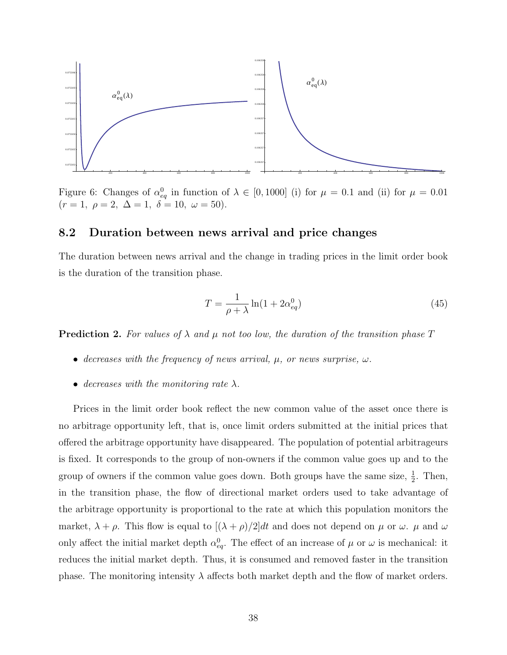

<span id="page-39-0"></span>Figure 6: Changes of  $\alpha_{eq}^0$  in function of  $\lambda \in [0, 1000]$  (i) for  $\mu = 0.1$  and (ii) for  $\mu = 0.01$  $(r = 1, \ \rho = 2, \ \Delta = 1, \ \delta = 10, \ \omega = 50).$ 

#### 8.2 Duration between news arrival and price changes

The duration between news arrival and the change in trading prices in the limit order book is the duration of the transition phase.

$$
T = \frac{1}{\rho + \lambda} \ln(1 + 2\alpha_{eq}^0)
$$
\n(45)

**Prediction 2.** For values of  $\lambda$  and  $\mu$  not too low, the duration of the transition phase T

- decreases with the frequency of news arrival,  $\mu$ , or news surprise,  $\omega$ .
- decreases with the monitoring rate  $\lambda$ .

Prices in the limit order book reflect the new common value of the asset once there is no arbitrage opportunity left, that is, once limit orders submitted at the initial prices that offered the arbitrage opportunity have disappeared. The population of potential arbitrageurs is fixed. It corresponds to the group of non-owners if the common value goes up and to the group of owners if the common value goes down. Both groups have the same size,  $\frac{1}{2}$ . Then, in the transition phase, the flow of directional market orders used to take advantage of the arbitrage opportunity is proportional to the rate at which this population monitors the market,  $\lambda + \rho$ . This flow is equal to  $[(\lambda + \rho)/2]dt$  and does not depend on  $\mu$  or  $\omega$ .  $\mu$  and  $\omega$ only affect the initial market depth  $\alpha_{eq}^0$ . The effect of an increase of  $\mu$  or  $\omega$  is mechanical: it reduces the initial market depth. Thus, it is consumed and removed faster in the transition phase. The monitoring intensity  $\lambda$  affects both market depth and the flow of market orders.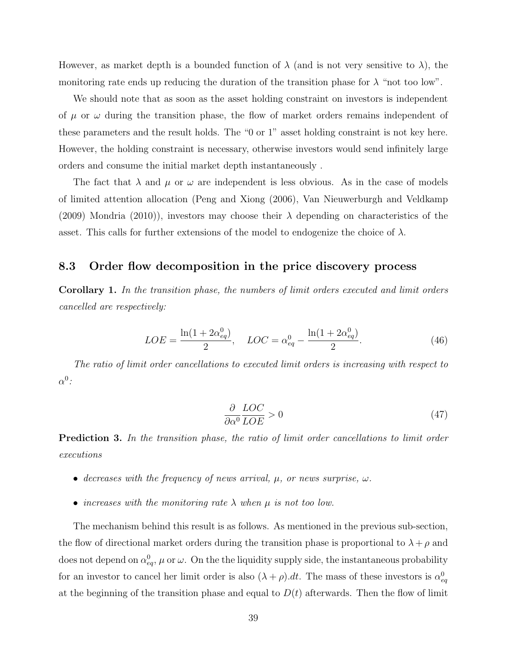However, as market depth is a bounded function of  $\lambda$  (and is not very sensitive to  $\lambda$ ), the monitoring rate ends up reducing the duration of the transition phase for  $\lambda$  "not too low".

We should note that as soon as the asset holding constraint on investors is independent of  $\mu$  or  $\omega$  during the transition phase, the flow of market orders remains independent of these parameters and the result holds. The "0 or 1" asset holding constraint is not key here. However, the holding constraint is necessary, otherwise investors would send infinitely large orders and consume the initial market depth instantaneously .

The fact that  $\lambda$  and  $\mu$  or  $\omega$  are independent is less obvious. As in the case of models of limited attention allocation (Peng and Xiong (2006), Van Nieuwerburgh and Veldkamp (2009) Mondria (2010)), investors may choose their  $\lambda$  depending on characteristics of the asset. This calls for further extensions of the model to endogenize the choice of  $\lambda$ .

#### 8.3 Order flow decomposition in the price discovery process

<span id="page-40-0"></span>Corollary 1. In the transition phase, the numbers of limit orders executed and limit orders cancelled are respectively:

$$
LOE = \frac{\ln(1 + 2\alpha_{eq}^0)}{2}, \quad LOC = \alpha_{eq}^0 - \frac{\ln(1 + 2\alpha_{eq}^0)}{2}.
$$
 (46)

The ratio of limit order cancellations to executed limit orders is increasing with respect to  $\alpha^0$ :

$$
\frac{\partial}{\partial \alpha^0} \frac{LOC}{LOE} > 0 \tag{47}
$$

**Prediction 3.** In the transition phase, the ratio of limit order cancellations to limit order executions

- decreases with the frequency of news arrival,  $\mu$ , or news surprise,  $\omega$ .
- increases with the monitoring rate  $\lambda$  when  $\mu$  is not too low.

The mechanism behind this result is as follows. As mentioned in the previous sub-section, the flow of directional market orders during the transition phase is proportional to  $\lambda + \rho$  and does not depend on  $\alpha_{eq}^0$ ,  $\mu$  or  $\omega$ . On the the liquidity supply side, the instantaneous probability for an investor to cancel her limit order is also  $(\lambda + \rho) dt$ . The mass of these investors is  $\alpha_{eq}^0$ at the beginning of the transition phase and equal to  $D(t)$  afterwards. Then the flow of limit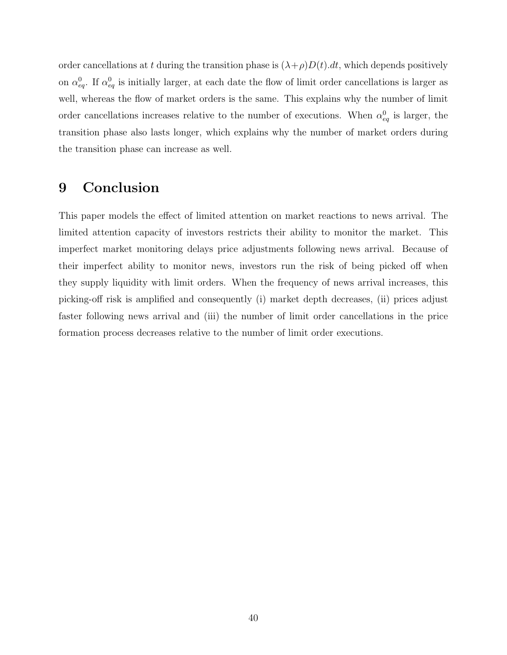order cancellations at t during the transition phase is  $(\lambda + \rho)D(t) dt$ , which depends positively on  $\alpha_{eq}^0$ . If  $\alpha_{eq}^0$  is initially larger, at each date the flow of limit order cancellations is larger as well, whereas the flow of market orders is the same. This explains why the number of limit order cancellations increases relative to the number of executions. When  $\alpha_{eq}^0$  is larger, the transition phase also lasts longer, which explains why the number of market orders during the transition phase can increase as well.

# <span id="page-41-0"></span>9 Conclusion

This paper models the effect of limited attention on market reactions to news arrival. The limited attention capacity of investors restricts their ability to monitor the market. This imperfect market monitoring delays price adjustments following news arrival. Because of their imperfect ability to monitor news, investors run the risk of being picked off when they supply liquidity with limit orders. When the frequency of news arrival increases, this picking-off risk is amplified and consequently (i) market depth decreases, (ii) prices adjust faster following news arrival and (iii) the number of limit order cancellations in the price formation process decreases relative to the number of limit order executions.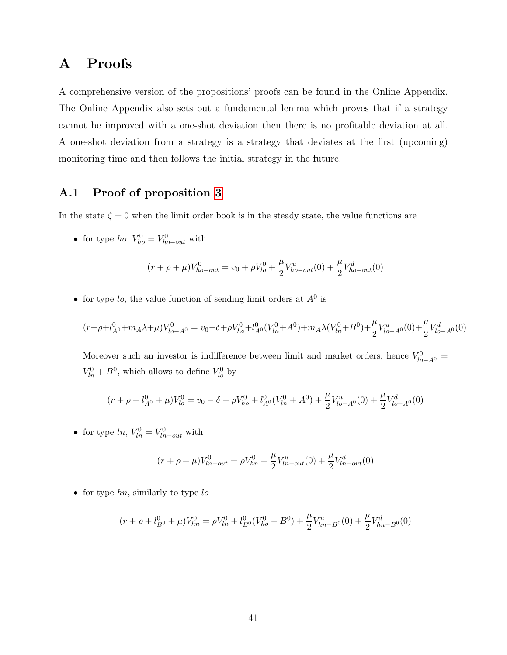# A Proofs

A comprehensive version of the propositions' proofs can be found in the Online Appendix. The Online Appendix also sets out a fundamental lemma which proves that if a strategy cannot be improved with a one-shot deviation then there is no profitable deviation at all. A one-shot deviation from a strategy is a strategy that deviates at the first (upcoming) monitoring time and then follows the initial strategy in the future.

# A.1 Proof of proposition [3](#page-23-0)

In the state  $\zeta = 0$  when the limit order book is in the steady state, the value functions are

• for type ho,  $V_{ho}^0 = V_{ho-out}^0$  with

$$
(r + \rho + \mu)V_{ho-out}^0 = v_0 + \rho V_{lo}^0 + \frac{\mu}{2} V_{ho-out}^u(0) + \frac{\mu}{2} V_{ho-out}^d(0)
$$

• for type lo, the value function of sending limit orders at  $A^0$  is

$$
(r+\rho+l_{A^0}^0+m_A\lambda+\mu)V_{lo-A^0}^0=v_0-\delta+\rho V_{ho}^0+l_{A^0}^0(V_{ln}^0+A^0)+m_A\lambda(V_{ln}^0+B^0)+\frac{\mu}{2}V_{lo-A^0}^u(0)+\frac{\mu}{2}V_{lo-A^0}^d(0)
$$

Moreover such an investor is indifference between limit and market orders, hence  $V_{lo-A0}^0$  =  $V_{ln}^{0} + B^{0}$ , which allows to define  $V_{lo}^{0}$  by

$$
(r + \rho + l_{A^0}^0 + \mu)V_{lo}^0 = v_0 - \delta + \rho V_{ho}^0 + l_{A^0}^0(V_{ln}^0 + A^0) + \frac{\mu}{2}V_{lo - A^0}^u(0) + \frac{\mu}{2}V_{lo - A^0}^d(0)
$$

• for type  $ln, V_{ln}^0 = V_{ln-out}^0$  with

$$
(r + \rho + \mu)V_{ln-out}^0 = \rho V_{hn}^0 + \frac{\mu}{2} V_{ln-out}^u(0) + \frac{\mu}{2} V_{ln-out}^d(0)
$$

• for type  $hn$ , similarly to type  $lo$ 

$$
(r + \rho + l_{B^0}^0 + \mu)V_{hn}^0 = \rho V_{ln}^0 + l_{B^0}^0(V_{ho}^0 - B^0) + \frac{\mu}{2} V_{hn - B^0}^u(0) + \frac{\mu}{2} V_{hn - B^0}^d(0)
$$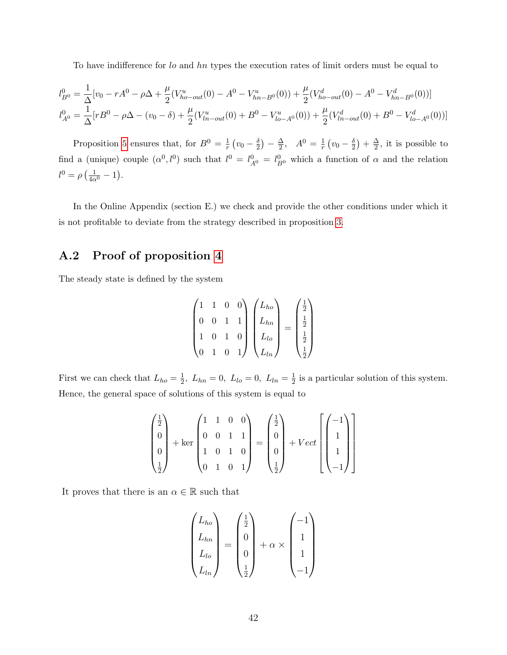To have indifference for lo and hn types the execution rates of limit orders must be equal to

$$
l_{B^0}^0 = \frac{1}{\Delta} [v_0 - rA^0 - \rho \Delta + \frac{\mu}{2} (V_{ho-out}^u(0) - A^0 - V_{hn-B^0}^u(0)) + \frac{\mu}{2} (V_{ho-out}^d(0) - A^0 - V_{hn-B^0}^d(0))]
$$
  

$$
l_{A^0}^0 = \frac{1}{\Delta} [rB^0 - \rho \Delta - (v_0 - \delta) + \frac{\mu}{2} (V_{ln-out}^u(0) + B^0 - V_{lo-A^0}^u(0)) + \frac{\mu}{2} (V_{ln-out}^d(0) + B^0 - V_{lo-A^0}^d(0))]
$$

Proposition [5](#page-29-0) ensures that, for  $B^0 = \frac{1}{r}$  $\frac{1}{r}\left(v_0-\frac{\delta}{2}\right)$  $\frac{\delta}{2}$ ) –  $\frac{\Delta}{2}$  $\frac{\Delta}{2}$ ,  $A^0 = \frac{1}{r}$  $\frac{1}{r}\left(v_0-\frac{\delta}{2}\right)$  $\frac{\delta}{2}$ ) +  $\frac{\Delta}{2}$  $\frac{\Delta}{2}$ , it is possible to find a (unique) couple  $(\alpha^0, l^0)$  such that  $l^0 = l_{A^0}^0 = l_{B^0}^0$  which a function of  $\alpha$  and the relation  $l^0 = \rho \left( \frac{1}{4\alpha^0} - 1 \right).$ 

In the Online Appendix (section E.) we check and provide the other conditions under which it is not profitable to deviate from the strategy described in proposition [3.](#page-23-0)

# A.2 Proof of proposition [4](#page-24-0)

The steady state is defined by the system

$$
\begin{pmatrix} 1 & 1 & 0 & 0 \ 0 & 0 & 1 & 1 \ 1 & 0 & 1 & 0 \ 0 & 1 & 0 & 1 \ \end{pmatrix} \begin{pmatrix} L_{ho} \\ L_{hn} \\ L_{lo} \\ L_{lo} \\ L_{ln} \end{pmatrix} = \begin{pmatrix} \frac{1}{2} \\ \frac{1}{2} \\ \frac{1}{2} \\ \frac{1}{2} \end{pmatrix}
$$

First we can check that  $L_{ho} = \frac{1}{2}$  $\frac{1}{2}$ ,  $L_{hn} = 0$ ,  $L_{lo} = 0$ ,  $L_{ln} = \frac{1}{2}$  $\frac{1}{2}$  is a particular solution of this system. Hence, the general space of solutions of this system is equal to

$$
\begin{pmatrix} \frac{1}{2} \\ 0 \\ 0 \\ \frac{1}{2} \end{pmatrix} + \ker \begin{pmatrix} 1 & 1 & 0 & 0 \\ 0 & 0 & 1 & 1 \\ 1 & 0 & 1 & 0 \\ 0 & 1 & 0 & 1 \end{pmatrix} = \begin{pmatrix} \frac{1}{2} \\ 0 \\ 0 \\ \frac{1}{2} \end{pmatrix} + Vect \begin{bmatrix} -1 \\ 1 \\ 1 \\ -1 \end{bmatrix}
$$

It proves that there is an  $\alpha \in \mathbb{R}$  such that

$$
\begin{pmatrix} L_{ho} \\ L_{hn} \\ L_{lo} \\ L_{ln} \end{pmatrix} = \begin{pmatrix} \frac{1}{2} \\ 0 \\ 0 \\ \frac{1}{2} \end{pmatrix} + \alpha \times \begin{pmatrix} -1 \\ 1 \\ 1 \\ -1 \end{pmatrix}
$$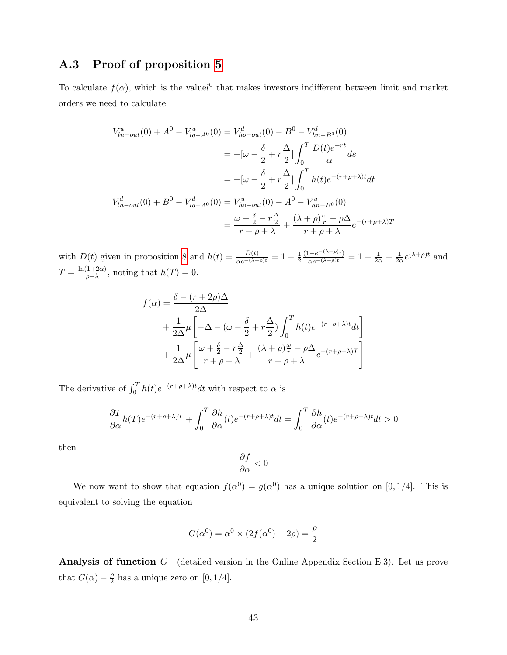### A.3 Proof of proposition [5](#page-29-0)

To calculate  $f(\alpha)$ , which is the valuel<sup>0</sup> that makes investors indifferent between limit and market orders we need to calculate

$$
V_{ln-out}^u(0) + A^0 - V_{lo-A^0}^u(0) = V_{ho-out}^d(0) - B^0 - V_{hn-B^0}^d(0)
$$
  

$$
= -[\omega - \frac{\delta}{2} + r\frac{\Delta}{2}] \int_0^T \frac{D(t)e^{-rt}}{\alpha} ds
$$
  

$$
= -[\omega - \frac{\delta}{2} + r\frac{\Delta}{2}] \int_0^T h(t)e^{-(r+\rho+\lambda)t} dt
$$
  

$$
V_{ln-out}^d(0) + B^0 - V_{lo-A^0}^d(0) = V_{ho-out}^u(0) - A^0 - V_{hn-B^0}^u(0)
$$
  

$$
= \frac{\omega + \frac{\delta}{2} - r\frac{\Delta}{2}}{r+\rho+\lambda} + \frac{(\lambda + \rho)\frac{\omega}{r} - \rho\Delta}{r+\rho+\lambda}e^{-(r+\rho+\lambda)T}
$$

with  $D(t)$  given in proposition [8](#page-34-0) and  $h(t) = \frac{D(t)}{\alpha e^{-(\lambda+\rho)t}} = 1 - \frac{1}{2}$  $\overline{2}$  $\frac{(1 - e^{-(\lambda + \rho)t})}{\alpha e^{-(\lambda + \rho)t}} = 1 + \frac{1}{2\alpha} - \frac{1}{2\alpha}$  $\frac{1}{2\alpha}e^{(\lambda+\rho)t}$  and  $T = \frac{\ln(1+2\alpha)}{a^2}$  $\frac{1+2\alpha}{\rho+\lambda}$ , noting that  $h(T)=0$ .

$$
f(\alpha) = \frac{\delta - (r + 2\rho)\Delta}{2\Delta}
$$
  
+  $\frac{1}{2\Delta}\mu \left[ -\Delta - (\omega - \frac{\delta}{2} + r\frac{\Delta}{2}) \int_0^T h(t)e^{-(r + \rho + \lambda)t}dt \right]$   
+  $\frac{1}{2\Delta}\mu \left[ \frac{\omega + \frac{\delta}{2} - r\frac{\Delta}{2}}{r + \rho + \lambda} + \frac{(\lambda + \rho)\frac{\omega}{r} - \rho\Delta}{r + \rho + \lambda}e^{-(r + \rho + \lambda)T} \right]$ 

The derivative of  $\int_0^T h(t)e^{-(r+\rho+\lambda)t}dt$  with respect to  $\alpha$  is

$$
\frac{\partial T}{\partial \alpha}h(T)e^{-(r+\rho+\lambda)T} + \int_0^T \frac{\partial h}{\partial \alpha}(t)e^{-(r+\rho+\lambda)t}dt = \int_0^T \frac{\partial h}{\partial \alpha}(t)e^{-(r+\rho+\lambda)t}dt > 0
$$

then

$$
\frac{\partial f}{\partial \alpha}<0
$$

We now want to show that equation  $f(\alpha^0) = g(\alpha^0)$  has a unique solution on [0, 1/4]. This is equivalent to solving the equation

$$
G(\alpha^{0}) = \alpha^{0} \times (2f(\alpha^{0}) + 2\rho) = \frac{\rho}{2}
$$

Analysis of function G (detailed version in the Online Appendix Section E.3). Let us prove that  $G(\alpha) - \frac{\rho}{2}$  $\frac{\rho}{2}$  has a unique zero on [0, 1/4].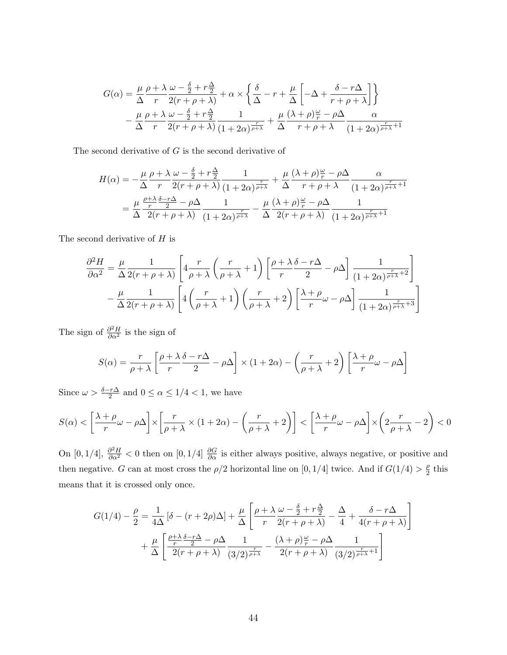$$
G(\alpha) = \frac{\mu}{\Delta} \frac{\rho + \lambda}{r} \frac{\omega - \frac{\delta}{2} + r\frac{\Delta}{2}}{r(r + \rho + \lambda)} + \alpha \times \left\{ \frac{\delta}{\Delta} - r + \frac{\mu}{\Delta} \left[ -\Delta + \frac{\delta - r\Delta}{r + \rho + \lambda} \right] \right\}
$$

$$
- \frac{\mu}{\Delta} \frac{\rho + \lambda}{r} \frac{\omega - \frac{\delta}{2} + r\frac{\Delta}{2}}{2(r + \rho + \lambda)} \frac{1}{(1 + 2\alpha)^{\frac{r}{\rho + \lambda}}} + \frac{\mu}{\Delta} \frac{(\lambda + \rho)^{\frac{\omega}{r}} - \rho\Delta}{r + \rho + \lambda} \frac{\alpha}{(1 + 2\alpha)^{\frac{r}{\rho + \lambda} + 1}}
$$

The second derivative of  $G$  is the second derivative of

$$
H(\alpha) = -\frac{\mu}{\Delta} \frac{\rho + \lambda}{r} \frac{\omega - \frac{\delta}{2} + r\frac{\Delta}{2}}{r} \frac{1}{(1 + 2\alpha)^{\frac{r}{\rho + \lambda}}} + \frac{\mu}{\Delta} \frac{(\lambda + \rho)\frac{\omega}{r} - \rho\Delta}{r + \rho + \lambda} \frac{\alpha}{(1 + 2\alpha)^{\frac{r}{\rho + \lambda} + 1}}
$$
  
= 
$$
\frac{\mu}{\Delta} \frac{\frac{\rho + \lambda}{r} \frac{\delta - r\Delta}{2} - \rho\Delta}{2(r + \rho + \lambda)} \frac{1}{(1 + 2\alpha)^{\frac{r}{\rho + \lambda}}} - \frac{\mu}{\Delta} \frac{(\lambda + \rho)\frac{\omega}{r} - \rho\Delta}{2(r + \rho + \lambda)} \frac{1}{(1 + 2\alpha)^{\frac{r}{\rho + \lambda} + 1}}
$$

The second derivative of  $H$  is

$$
\frac{\partial^2 H}{\partial \alpha^2} = \frac{\mu}{\Delta} \frac{1}{2(r+\rho+\lambda)} \left[ 4\frac{r}{\rho+\lambda} \left( \frac{r}{\rho+\lambda} + 1 \right) \left[ \frac{\rho+\lambda}{r} \frac{\delta-r\Delta}{2} - \rho \Delta \right] \frac{1}{(1+2\alpha)^{\frac{r}{\rho+\lambda}+2}} \right] - \frac{\mu}{\Delta} \frac{1}{2(r+\rho+\lambda)} \left[ 4\left( \frac{r}{\rho+\lambda} + 1 \right) \left( \frac{r}{\rho+\lambda} + 2 \right) \left[ \frac{\lambda+\rho}{r} \omega - \rho \Delta \right] \frac{1}{(1+2\alpha)^{\frac{r}{\rho+\lambda}+3}} \right]
$$

The sign of  $\frac{\partial^2 H}{\partial \alpha^2}$  is the sign of

$$
S(\alpha) = \frac{r}{\rho + \lambda} \left[ \frac{\rho + \lambda}{r} \frac{\delta - r\Delta}{2} - \rho \Delta \right] \times (1 + 2\alpha) - \left( \frac{r}{\rho + \lambda} + 2 \right) \left[ \frac{\lambda + \rho}{r} \omega - \rho \Delta \right]
$$

Since  $\omega > \frac{\delta - r\Delta}{2}$  and  $0 \le \alpha \le 1/4 < 1$ , we have

$$
S(\alpha) < \left[\frac{\lambda + \rho}{r}\omega - \rho\Delta\right] \times \left[\frac{r}{\rho + \lambda} \times (1 + 2\alpha) - \left(\frac{r}{\rho + \lambda} + 2\right)\right] < \left[\frac{\lambda + \rho}{r}\omega - \rho\Delta\right] \times \left(2\frac{r}{\rho + \lambda} - 2\right) < 0
$$

On [0, 1/4],  $\frac{\partial^2 H}{\partial \alpha^2}$  < 0 then on [0, 1/4]  $\frac{\partial G}{\partial \alpha}$  is either always positive, always negative, or positive and then negative. G can at most cross the  $\rho/2$  horizontal line on [0, 1/4] twice. And if  $G(1/4) > \frac{\rho}{2}$  $\frac{\rho}{2}$  this means that it is crossed only once.

$$
G(1/4) - \frac{\rho}{2} = \frac{1}{4\Delta} \left[ \delta - (r + 2\rho)\Delta \right] + \frac{\mu}{\Delta} \left[ \frac{\rho + \lambda}{r} \frac{\omega - \frac{\delta}{2} + r\frac{\Delta}{2}}{2(r + \rho + \lambda)} - \frac{\Delta}{4} + \frac{\delta - r\Delta}{4(r + \rho + \lambda)} \right] + \frac{\mu}{\Delta} \left[ \frac{\frac{\rho + \lambda}{r} \frac{\delta - r\Delta}{2} - \rho\Delta}{2(r + \rho + \lambda)} \frac{1}{(3/2)^{\frac{r}{\rho + \lambda}}} - \frac{(\lambda + \rho)\frac{\omega}{r} - \rho\Delta}{2(r + \rho + \lambda)} \frac{1}{(3/2)^{\frac{r}{\rho + \lambda} + 1}} \right]
$$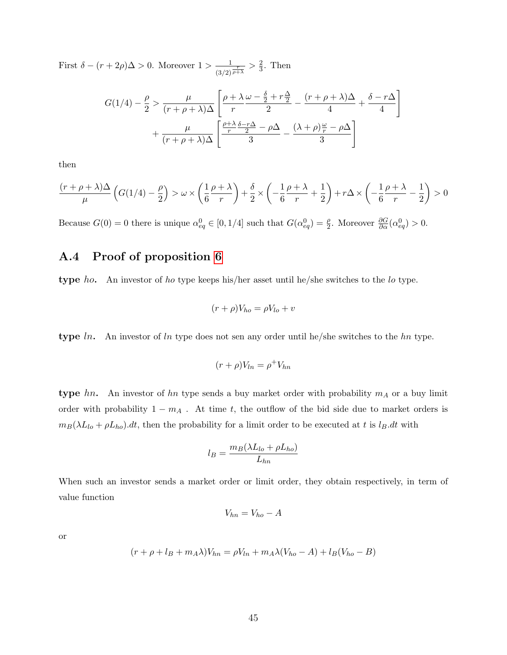First  $\delta - (r + 2\rho)\Delta > 0$ . Moreover  $1 > \frac{1}{\sqrt{1-\rho^2}}$  $\frac{1}{(3/2)^{\frac{r}{\rho+\lambda}}}>\frac{2}{3}$  $\frac{2}{3}$ . Then

$$
G(1/4) - \frac{\rho}{2} > \frac{\mu}{(r+\rho+\lambda)\Delta} \left[ \frac{\rho+\lambda}{r} \frac{\omega - \frac{\delta}{2} + r\frac{\Delta}{2}}{2} - \frac{(r+\rho+\lambda)\Delta}{4} + \frac{\delta - r\Delta}{4} \right] + \frac{\mu}{(r+\rho+\lambda)\Delta} \left[ \frac{\frac{\rho+\lambda}{r} \frac{\delta - r\Delta}{2} - \rho\Delta}{3} - \frac{(\lambda+\rho)\frac{\omega}{r} - \rho\Delta}{3} \right]
$$

then

$$
\frac{(r+\rho+\lambda)\Delta}{\mu}\left(G(1/4)-\frac{\rho}{2}\right) > \omega \times \left(\frac{1}{6}\frac{\rho+\lambda}{r}\right)+\frac{\delta}{2} \times \left(-\frac{1}{6}\frac{\rho+\lambda}{r}+\frac{1}{2}\right)+r\Delta \times \left(-\frac{1}{6}\frac{\rho+\lambda}{r}-\frac{1}{2}\right) > 0
$$

Because  $G(0) = 0$  there is unique  $\alpha_{eq}^0 \in [0, 1/4]$  such that  $G(\alpha_{eq}^0) = \frac{\rho}{2}$ . Moreover  $\frac{\partial G}{\partial \alpha}(\alpha_{eq}^0) > 0$ .

# A.4 Proof of proposition [6](#page-31-1)

type ho. An investor of ho type keeps his/her asset until he/she switches to the lo type.

$$
(r+\rho)V_{ho} = \rho V_{lo} + v
$$

type ln. An investor of ln type does not sen any order until he/she switches to the hn type.

$$
(r+\rho)V_{ln} = \rho^+V_{hn}
$$

type hn. An investor of hn type sends a buy market order with probability  $m_A$  or a buy limit order with probability  $1 - m_A$ . At time t, the outflow of the bid side due to market orders is  $m_B(\lambda L_{lo} + \rho L_{ho}) dt$ , then the probability for a limit order to be executed at t is l<sub>B</sub>.dt with

$$
l_B = \frac{m_B(\lambda L_{lo} + \rho L_{ho})}{L_{hn}}
$$

When such an investor sends a market order or limit order, they obtain respectively, in term of value function

$$
V_{hn} = V_{ho} - A
$$

or

$$
(r + \rho + l_B + m_A \lambda) V_{hn} = \rho V_{ln} + m_A \lambda (V_{ho} - A) + l_B (V_{ho} - B)
$$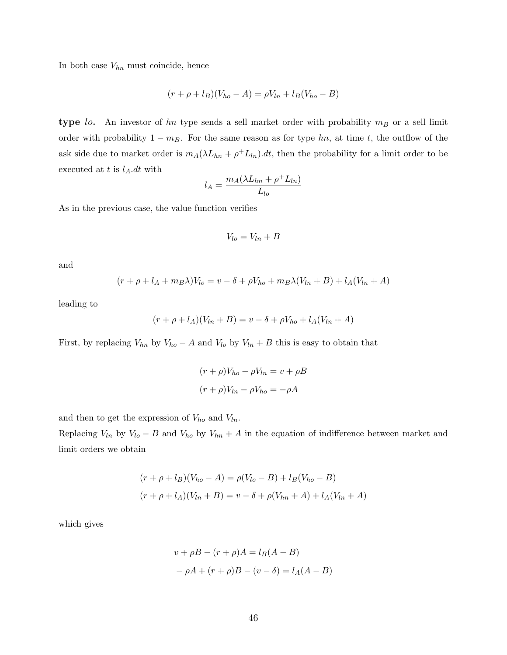In both case  $V_{hn}$  must coincide, hence

$$
(r + \rho + l_B)(V_{ho} - A) = \rho V_{ln} + l_B(V_{ho} - B)
$$

type lo. An investor of hn type sends a sell market order with probability  $m_B$  or a sell limit order with probability  $1 - m_B$ . For the same reason as for type hn, at time t, the outflow of the ask side due to market order is  $m_A(\lambda L_{hn} + \rho^+ L_{ln}) dt$ , then the probability for a limit order to be executed at t is  $l_A.dt$  with

$$
l_A = \frac{m_A(\lambda L_{hn} + \rho^+ L_{ln})}{L_{lo}}
$$

As in the previous case, the value function verifies

$$
V_{lo} = V_{ln} + B
$$

and

$$
(r + \rho + l_A + m_B \lambda)V_{lo} = v - \delta + \rho V_{ho} + m_B \lambda (V_{ln} + B) + l_A(V_{ln} + A)
$$

leading to

$$
(r + \rho + l_A)(V_{ln} + B) = v - \delta + \rho V_{ho} + l_A(V_{ln} + A)
$$

First, by replacing  $V_{hn}$  by  $V_{ho} - A$  and  $V_{lo}$  by  $V_{ln} + B$  this is easy to obtain that

$$
(r + \rho)V_{ho} - \rho V_{ln} = v + \rho B
$$

$$
(r + \rho)V_{ln} - \rho V_{ho} = -\rho A
$$

and then to get the expression of  $V_{ho}$  and  $V_{ln}$ .

Replacing  $V_{ln}$  by  $V_{lo} - B$  and  $V_{ho}$  by  $V_{hn} + A$  in the equation of indifference between market and limit orders we obtain

$$
(r + \rho + l_B)(V_{ho} - A) = \rho(V_{lo} - B) + l_B(V_{ho} - B)
$$

$$
(r + \rho + l_A)(V_{ln} + B) = v - \delta + \rho(V_{hn} + A) + l_A(V_{ln} + A)
$$

which gives

$$
v + \rho B - (r + \rho)A = l_B(A - B)
$$
  
-  $\rho A + (r + \rho)B - (v - \delta) = l_A(A - B)$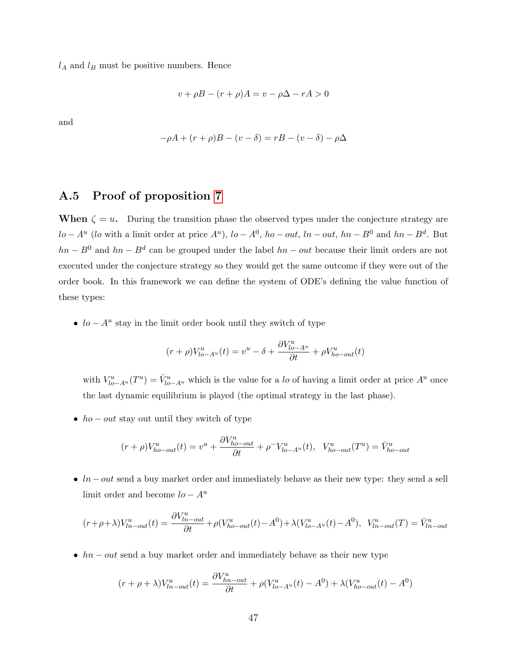$l_A$  and  $l_B$  must be positive numbers. Hence

$$
v + \rho B - (r + \rho)A = v - \rho \Delta - rA > 0
$$

and

$$
-\rho A + (r + \rho)B - (v - \delta) = rB - (v - \delta) - \rho \Delta
$$

#### A.5 Proof of proposition [7](#page-33-0)

When  $\zeta = u$ . During the transition phase the observed types under the conjecture strategy are  $lo - A^u$  (lo with a limit order at price  $A^u$ ),  $lo - A^0$ ,  $ho - out$ ,  $ln - out$ ,  $hn - B^0$  and  $hn - B^d$ . But  $hn - B<sup>0</sup>$  and  $hn - B<sup>d</sup>$  can be grouped under the label  $hn - out$  because their limit orders are not executed under the conjecture strategy so they would get the same outcome if they were out of the order book. In this framework we can define the system of ODE's defining the value function of these types:

•  $lo - A<sup>u</sup>$  stay in the limit order book until they switch of type

$$
(r+\rho) V_{lo-A^u}^u(t) = v^u - \delta + \frac{\partial V_{lo-A^u}^u}{\partial t} + \rho V_{ho-out}^u(t)
$$

with  $V_{lo-A^u}^u(T^u) = \bar{V}_{lo-A^u}^u$  which is the value for a lo of having a limit order at price  $A^u$  once the last dynamic equilibrium is played (the optimal strategy in the last phase).

•  $ho - out$  stay out until they switch of type

$$
(r+\rho)V_{ho-out}^u(t) = v^u + \frac{\partial V_{ho-out}^u}{\partial t} + \rho^- V_{lo-A^u}^u(t), \quad V_{ho-out}^u(T^u) = \bar{V}_{ho-out}^u
$$

•  $ln - out$  send a buy market order and immediately behave as their new type: they send a sell limit order and become  $lo - A^u$ 

$$
(r+\rho+\lambda)V^{u}_{ln-out}(t)=\frac{\partial V^{u}_{ln-out}}{\partial t}+\rho(V^{u}_{ho-out}(t)-A^0)+\lambda(V^{u}_{lo-A^u}(t)-A^0),\ \ V^{u}_{ln-out}(T)=\bar V^{u}_{ln-out}
$$

•  $hn - out$  send a buy market order and immediately behave as their new type

$$
(r+\rho+\lambda)V_{ln-out}^u(t) = \frac{\partial V_{ln-out}^u}{\partial t} + \rho(V_{ln-A^u}^u(t) - A^0) + \lambda(V_{ho-out}^u(t) - A^0)
$$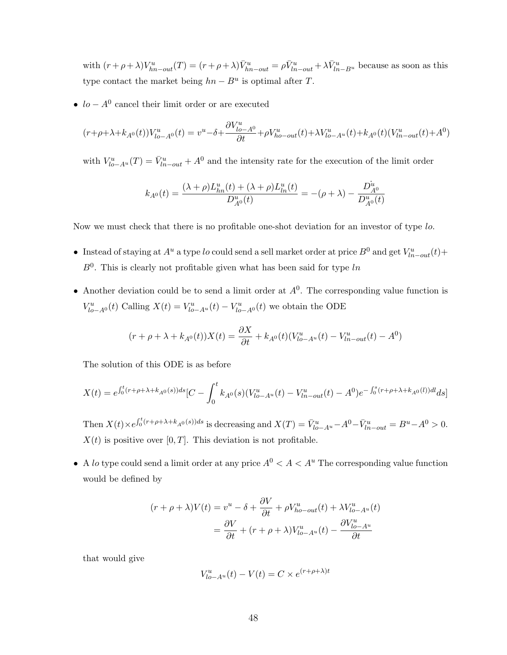with  $(r+\rho+\lambda)V_{hn-out}^u(T) = (r+\rho+\lambda)\bar{V}_{hn-out}^u = \rho \bar{V}_{ln-out}^u + \lambda \bar{V}_{ln-B^u}^u$  because as soon as this type contact the market being  $hn - B^u$  is optimal after T.

•  $lo - A^0$  cancel their limit order or are executed

$$
(r+\rho+\lambda+k_{A^0}(t))V^u_{lo-A^0}(t)=v^u-\delta+\frac{\partial V^u_{lo-A^0}}{\partial t}+\rho V^u_{ho-out}(t)+\lambda V^u_{lo-A^u}(t)+k_{A^0}(t)(V^u_{lh-out}(t)+A^0)
$$

with  $V_{lo-A^u}^u(T) = \bar{V}_{ln-out}^u + A^0$  and the intensity rate for the execution of the limit order

$$
k_{A^0}(t)=\frac{(\lambda+\rho)L_{hn}^u(t)+(\lambda+\rho)L_{ln}^u(t)}{D_{A^0}^u(t)}=-(\rho+\lambda)-\frac{D_{A^0}^u}{D_{A^0}^u(t)}
$$

Now we must check that there is no profitable one-shot deviation for an investor of type lo.

- Instead of staying at  $A^u$  a type lo could send a sell market order at price  $B^0$  and get  $V^u_{ln-out}(t)$ +  $B^0$ . This is clearly not profitable given what has been said for type  $ln$
- Another deviation could be to send a limit order at  $A^0$ . The corresponding value function is  $V_{lo-A^{0}}^{u}(t)$  Calling  $X(t) = V_{lo-A^{u}}^{u}(t) - V_{lo-A^{0}}^{u}(t)$  we obtain the ODE

$$
(r + \rho + \lambda + k_{A^0}(t))X(t) = \frac{\partial X}{\partial t} + k_{A^0}(t)(V_{lo-A^u}^u(t) - V_{lh-out}^u(t) - A^0)
$$

The solution of this ODE is as before

$$
X(t) = e^{\int_0^t (r+\rho+\lambda+k_{A^0}(s))ds} [C - \int_0^t k_{A^0}(s)(V_{lo-A^u}^u(t) - V_{lh-out}^u(t) - A^0)e^{-\int_0^s (r+\rho+\lambda+k_{A^0}(l))dl} ds]
$$

Then  $X(t) \times e^{\int_0^t (r+\rho+\lambda+k_{A^0}(s))ds}$  is decreasing and  $X(T) = \bar{V}_{lo-A^u}^u - A^0 - \bar{V}_{ln-out}^u = B^u - A^0 > 0$ .  $X(t)$  is positive over [0, T]. This deviation is not profitable.

• A lo type could send a limit order at any price  $A^0 < A < A^u$  The corresponding value function would be defined by

$$
(r + \rho + \lambda)V(t) = v^u - \delta + \frac{\partial V}{\partial t} + \rho V_{ho-out}^u(t) + \lambda V_{lo-A^u}^u(t)
$$

$$
= \frac{\partial V}{\partial t} + (r + \rho + \lambda)V_{lo-A^u}^u(t) - \frac{\partial V_{lo-A^u}^u}{\partial t}
$$

that would give

$$
V_{lo-A^u}^u(t) - V(t) = C \times e^{(r+\rho+\lambda)t}
$$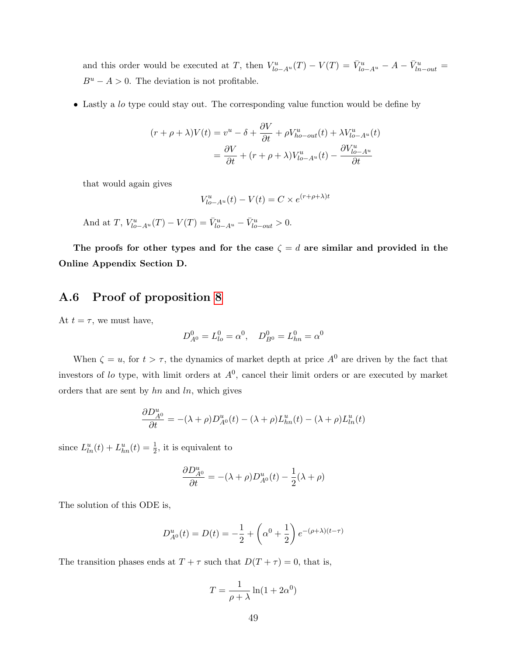and this order would be executed at T, then  $V_{lo-A^u}^u(T) - V(T) = \bar{V}_{lo-A^u}^u - A - \bar{V}_{ln-out}^u =$  $B^u - A > 0$ . The deviation is not profitable.

• Lastly a lo type could stay out. The corresponding value function would be define by

$$
(r + \rho + \lambda)V(t) = v^u - \delta + \frac{\partial V}{\partial t} + \rho V_{ho-out}^u(t) + \lambda V_{lo-A^u}^u(t)
$$

$$
= \frac{\partial V}{\partial t} + (r + \rho + \lambda)V_{lo-A^u}^u(t) - \frac{\partial V_{lo-A^u}^u}{\partial t}
$$

that would again gives

$$
V_{lo-A^u}^u(t) - V(t) = C \times e^{(r+\rho+\lambda)t}
$$

And at T, 
$$
V_{lo-A^u}^u(T) - V(T) = \bar{V}_{lo-A^u}^u - \bar{V}_{lo-out}^u > 0.
$$

The proofs for other types and for the case  $\zeta = d$  are similar and provided in the Online Appendix Section D.

## A.6 Proof of proposition [8](#page-34-0)

At  $t = \tau$ , we must have,

$$
D_{A^0}^0 = L_{lo}^0 = \alpha^0, \quad D_{B^0}^0 = L_{hn}^0 = \alpha^0
$$

When  $\zeta = u$ , for  $t > \tau$ , the dynamics of market depth at price  $A^0$  are driven by the fact that investors of lo type, with limit orders at  $A<sup>0</sup>$ , cancel their limit orders or are executed by market orders that are sent by  $hn$  and  $ln$ , which gives

$$
\frac{\partial D_{A^0}^u}{\partial t} = -(\lambda + \rho)D_{A^0}^u(t) - (\lambda + \rho)L_{hn}^u(t) - (\lambda + \rho)L_{ln}^u(t)
$$

since  $L_{ln}^{u}(t) + L_{ln}^{u}(t) = \frac{1}{2}$ , it is equivalent to

$$
\frac{\partial D_{A^0}^u}{\partial t} = -(\lambda + \rho)D_{A^0}^u(t) - \frac{1}{2}(\lambda + \rho)
$$

The solution of this ODE is,

$$
D_{A^0}^u(t) = D(t) = -\frac{1}{2} + \left(\alpha^0 + \frac{1}{2}\right)e^{-(\rho + \lambda)(t-\tau)}
$$

The transition phases ends at  $T + \tau$  such that  $D(T + \tau) = 0$ , that is,

$$
T = \frac{1}{\rho + \lambda} \ln(1 + 2\alpha^0)
$$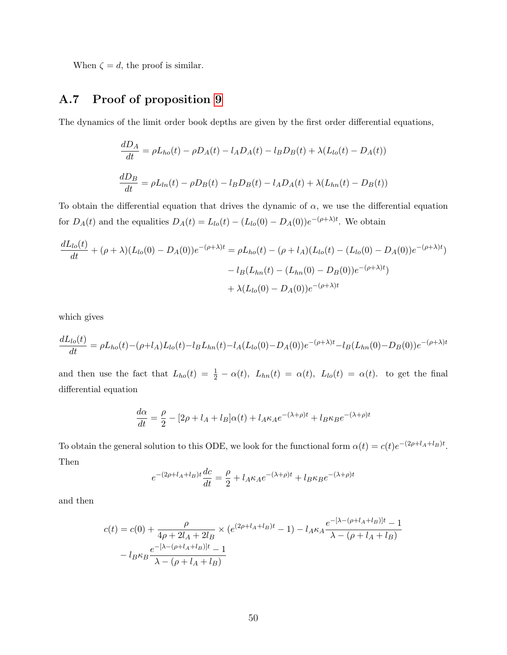When  $\zeta = d$ , the proof is similar.

# A.7 Proof of proposition [9](#page-37-1)

The dynamics of the limit order book depths are given by the first order differential equations,

$$
\frac{dD_A}{dt} = \rho L_{ho}(t) - \rho D_A(t) - l_A D_A(t) - l_B D_B(t) + \lambda (L_{lo}(t) - D_A(t))
$$
  

$$
\frac{dD_B}{dt} = \rho L_{ln}(t) - \rho D_B(t) - l_B D_B(t) - l_A D_A(t) + \lambda (L_{hn}(t) - D_B(t))
$$

To obtain the differential equation that drives the dynamic of  $\alpha$ , we use the differential equation for  $D_A(t)$  and the equalities  $D_A(t) = L_{lo}(t) - (L_{lo}(0) - D_A(0))e^{-(\rho + \lambda)t}$ . We obtain

$$
\frac{dL_{lo}(t)}{dt} + (\rho + \lambda)(L_{lo}(0) - D_A(0))e^{-(\rho + \lambda)t} = \rho L_{ho}(t) - (\rho + l_A)(L_{lo}(t) - (L_{lo}(0) - D_A(0))e^{-(\rho + \lambda)t})
$$

$$
-l_B(L_{hn}(t) - (L_{hn}(0) - D_B(0))e^{-(\rho + \lambda)t})
$$

$$
+ \lambda(L_{lo}(0) - D_A(0))e^{-(\rho + \lambda)t}
$$

which gives

$$
\frac{dL_{lo}(t)}{dt} = \rho L_{ho}(t) - (\rho + l_A)L_{lo}(t) - l_B L_{hn}(t) - l_A(L_{lo}(0) - D_A(0))e^{-(\rho + \lambda)t} - l_B(L_{hn}(0) - D_B(0))e^{-(\rho + \lambda)t}
$$

and then use the fact that  $L_{ho}(t) = \frac{1}{2} - \alpha(t)$ ,  $L_{hn}(t) = \alpha(t)$ ,  $L_{lo}(t) = \alpha(t)$ . to get the final differential equation

$$
\frac{d\alpha}{dt} = \frac{\rho}{2} - [2\rho + l_A + l_B]\alpha(t) + l_A \kappa_A e^{-(\lambda + \rho)t} + l_B \kappa_B e^{-(\lambda + \rho)t}
$$

To obtain the general solution to this ODE, we look for the functional form  $\alpha(t) = c(t)e^{-(2\rho + l_A + l_B)t}$ . Then

$$
e^{-(2\rho + l_A + l_B)t} \frac{dc}{dt} = \frac{\rho}{2} + l_A \kappa_A e^{-(\lambda + \rho)t} + l_B \kappa_B e^{-(\lambda + \rho)t}
$$

and then

$$
c(t) = c(0) + \frac{\rho}{4\rho + 2l_A + 2l_B} \times (e^{(2\rho + l_A + l_B)t} - 1) - l_A \kappa_A \frac{e^{-[\lambda - (\rho + l_A + l_B)]t} - 1}{\lambda - (\rho + l_A + l_B)}
$$

$$
- l_B \kappa_B \frac{e^{-[\lambda - (\rho + l_A + l_B)]t} - 1}{\lambda - (\rho + l_A + l_B)}
$$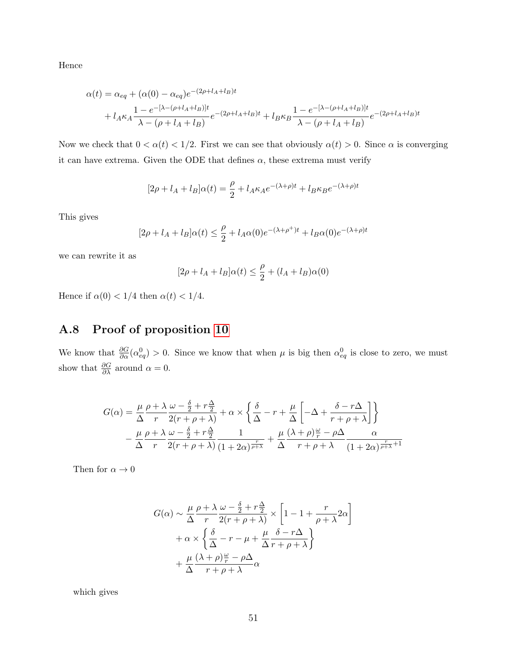Hence

$$
\alpha(t) = \alpha_{eq} + (\alpha(0) - \alpha_{eq})e^{-(2\rho + l_A + l_B)t} + l_A \kappa_A \frac{1 - e^{-[\lambda - (\rho + l_A + l_B)]t}}{\lambda - (\rho + l_A + l_B)} e^{-(2\rho + l_A + l_B)t} + l_B \kappa_B \frac{1 - e^{-[\lambda - (\rho + l_A + l_B)]t}}{\lambda - (\rho + l_A + l_B)} e^{-(2\rho + l_A + l_B)t}
$$

Now we check that  $0 < \alpha(t) < 1/2$ . First we can see that obviously  $\alpha(t) > 0$ . Since  $\alpha$  is converging it can have extrema. Given the ODE that defines  $\alpha$ , these extrema must verify

$$
[2\rho + l_A + l_B]\alpha(t) = \frac{\rho}{2} + l_A \kappa_A e^{-(\lambda + \rho)t} + l_B \kappa_B e^{-(\lambda + \rho)t}
$$

This gives

$$
[2\rho + l_A + l_B]\alpha(t) \le \frac{\rho}{2} + l_A\alpha(0)e^{-(\lambda + \rho^+)t} + l_B\alpha(0)e^{-(\lambda + \rho)t}
$$

we can rewrite it as

$$
[2\rho + l_A + l_B]\alpha(t) \le \frac{\rho}{2} + (l_A + l_B)\alpha(0)
$$

Hence if  $\alpha(0) < 1/4$  then  $\alpha(t) < 1/4$ .

# A.8 Proof of proposition [10](#page-37-3)

We know that  $\frac{\partial G}{\partial \alpha}(\alpha_{eq}^0) > 0$ . Since we know that when  $\mu$  is big then  $\alpha_{eq}^0$  is close to zero, we must show that  $\frac{\partial G}{\partial \lambda}$  around  $\alpha = 0$ .

$$
G(\alpha) = \frac{\mu}{\Delta} \frac{\rho + \lambda}{r} \frac{\omega - \frac{\delta}{2} + r\frac{\Delta}{2}}{r(r + \rho + \lambda)} + \alpha \times \left\{ \frac{\delta}{\Delta} - r + \frac{\mu}{\Delta} \left[ -\Delta + \frac{\delta - r\Delta}{r + \rho + \lambda} \right] \right\}
$$

$$
- \frac{\mu}{\Delta} \frac{\rho + \lambda}{r} \frac{\omega - \frac{\delta}{2} + r\frac{\Delta}{2}}{r(r + \rho + \lambda)} \frac{1}{(1 + 2\alpha)^{\frac{r}{p + \lambda}}} + \frac{\mu}{\Delta} \frac{(\lambda + \rho)\frac{\omega}{r} - \rho\Delta}{r + \rho + \lambda} \frac{\alpha}{(1 + 2\alpha)^{\frac{r}{p + \lambda} + 1}}
$$

Then for  $\alpha \to 0$ 

$$
G(\alpha) \sim \frac{\mu}{\Delta} \frac{\rho + \lambda}{r} \frac{\omega - \frac{\delta}{2} + r\frac{\Delta}{2}}{2(r + \rho + \lambda)} \times \left[1 - 1 + \frac{r}{\rho + \lambda} 2\alpha\right] + \alpha \times \left\{\frac{\delta}{\Delta} - r - \mu + \frac{\mu}{\Delta} \frac{\delta - r\Delta}{r + \rho + \lambda}\right\} + \frac{\mu}{\Delta} \frac{(\lambda + \rho)\frac{\omega}{r} - \rho\Delta}{r + \rho + \lambda} \alpha
$$

which gives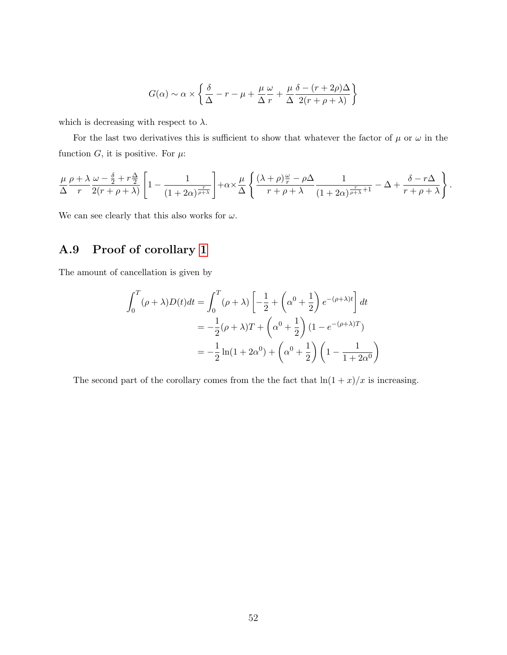$$
G(\alpha) \sim \alpha \times \left\{ \frac{\delta}{\Delta} - r - \mu + \frac{\mu}{\Delta} \frac{\omega}{r} + \frac{\mu}{\Delta} \frac{\delta - (r + 2\rho)\Delta}{2(r + \rho + \lambda)} \right\}
$$

which is decreasing with respect to  $\lambda$ .

For the last two derivatives this is sufficient to show that whatever the factor of  $\mu$  or  $\omega$  in the function  $G$ , it is positive. For  $\mu$ :

$$
\frac{\mu}{\Delta} \frac{\rho + \lambda}{r} \frac{\omega - \frac{\delta}{2} + r\frac{\Delta}{2}}{2(r + \rho + \lambda)} \left[ 1 - \frac{1}{(1 + 2\alpha)^{\frac{r}{\rho + \lambda}}} \right] + \alpha \times \frac{\mu}{\Delta} \left\{ \frac{(\lambda + \rho)\frac{\omega}{r} - \rho\Delta}{r + \rho + \lambda} \frac{1}{(1 + 2\alpha)^{\frac{r}{\rho + \lambda} + 1}} - \Delta + \frac{\delta - r\Delta}{r + \rho + \lambda} \right\}.
$$

We can see clearly that this also works for  $\omega$ .

# A.9 Proof of corollary [1](#page-40-0)

The amount of cancellation is given by

$$
\int_0^T (\rho + \lambda) D(t) dt = \int_0^T (\rho + \lambda) \left[ -\frac{1}{2} + \left( \alpha^0 + \frac{1}{2} \right) e^{-(\rho + \lambda)t} \right] dt
$$
  
=  $-\frac{1}{2} (\rho + \lambda) T + \left( \alpha^0 + \frac{1}{2} \right) (1 - e^{-(\rho + \lambda)T})$   
=  $-\frac{1}{2} \ln(1 + 2\alpha^0) + \left( \alpha^0 + \frac{1}{2} \right) \left( 1 - \frac{1}{1 + 2\alpha^0} \right)$ 

The second part of the corollary comes from the the fact that  $\ln(1+x)/x$  is increasing.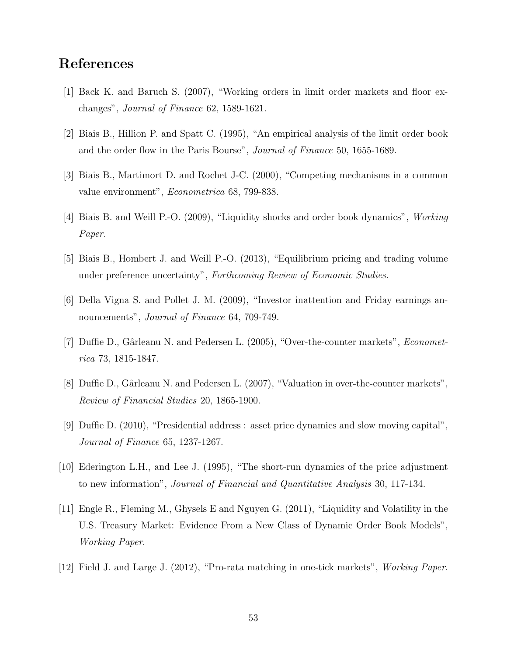# References

- [1] Back K. and Baruch S. (2007), "Working orders in limit order markets and floor exchanges", Journal of Finance 62, 1589-1621.
- [2] Biais B., Hillion P. and Spatt C. (1995), "An empirical analysis of the limit order book and the order flow in the Paris Bourse", Journal of Finance 50, 1655-1689.
- [3] Biais B., Martimort D. and Rochet J-C. (2000), "Competing mechanisms in a common value environment", Econometrica 68, 799-838.
- [4] Biais B. and Weill P.-O. (2009), "Liquidity shocks and order book dynamics", Working Paper.
- [5] Biais B., Hombert J. and Weill P.-O. (2013), "Equilibrium pricing and trading volume under preference uncertainty", Forthcoming Review of Economic Studies.
- [6] Della Vigna S. and Pollet J. M. (2009), "Investor inattention and Friday earnings announcements", *Journal of Finance* 64, 709-749.
- [7] Duffie D., Gârleanu N. and Pedersen L. (2005), "Over-the-counter markets", *Economet*rica 73, 1815-1847.
- [8] Duffie D., Gârleanu N. and Pedersen L. (2007), "Valuation in over-the-counter markets", Review of Financial Studies 20, 1865-1900.
- [9] Duffie D. (2010), "Presidential address : asset price dynamics and slow moving capital", Journal of Finance 65, 1237-1267.
- [10] Ederington L.H., and Lee J. (1995), "The short-run dynamics of the price adjustment to new information", Journal of Financial and Quantitative Analysis 30, 117-134.
- [11] Engle R., Fleming M., Ghysels E and Nguyen G. (2011), "Liquidity and Volatility in the U.S. Treasury Market: Evidence From a New Class of Dynamic Order Book Models", Working Paper.
- [12] Field J. and Large J. (2012), "Pro-rata matching in one-tick markets", Working Paper.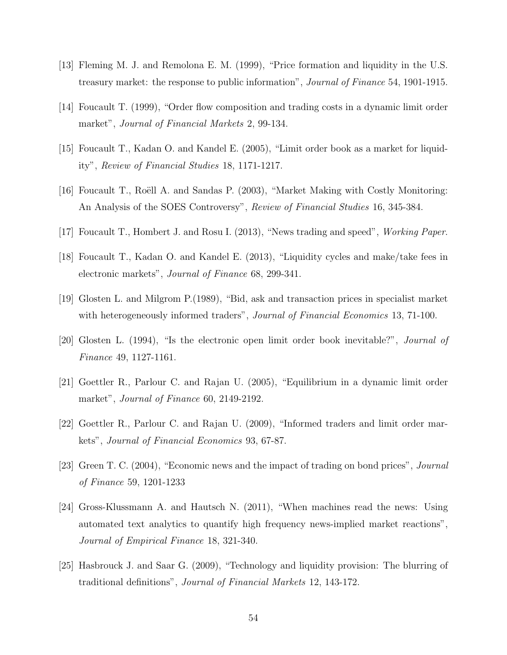- [13] Fleming M. J. and Remolona E. M. (1999), "Price formation and liquidity in the U.S. treasury market: the response to public information", Journal of Finance 54, 1901-1915.
- [14] Foucault T. (1999), "Order flow composition and trading costs in a dynamic limit order market", *Journal of Financial Markets* 2, 99-134.
- [15] Foucault T., Kadan O. and Kandel E. (2005), "Limit order book as a market for liquidity", Review of Financial Studies 18, 1171-1217.
- [16] Foucault T., Roëll A. and Sandas P. (2003), "Market Making with Costly Monitoring: An Analysis of the SOES Controversy", Review of Financial Studies 16, 345-384.
- [17] Foucault T., Hombert J. and Rosu I. (2013), "News trading and speed", Working Paper.
- [18] Foucault T., Kadan O. and Kandel E. (2013), "Liquidity cycles and make/take fees in electronic markets", Journal of Finance 68, 299-341.
- [19] Glosten L. and Milgrom P.(1989), "Bid, ask and transaction prices in specialist market with heterogeneously informed traders", *Journal of Financial Economics* 13, 71-100.
- [20] Glosten L. (1994), "Is the electronic open limit order book inevitable?", Journal of Finance 49, 1127-1161.
- [21] Goettler R., Parlour C. and Rajan U. (2005), "Equilibrium in a dynamic limit order market", *Journal of Finance* 60, 2149-2192.
- [22] Goettler R., Parlour C. and Rajan U. (2009), "Informed traders and limit order markets", Journal of Financial Economics 93, 67-87.
- [23] Green T. C. (2004), "Economic news and the impact of trading on bond prices", Journal of Finance 59, 1201-1233
- [24] Gross-Klussmann A. and Hautsch N. (2011), "When machines read the news: Using automated text analytics to quantify high frequency news-implied market reactions", Journal of Empirical Finance 18, 321-340.
- [25] Hasbrouck J. and Saar G. (2009), "Technology and liquidity provision: The blurring of traditional definitions", Journal of Financial Markets 12, 143-172.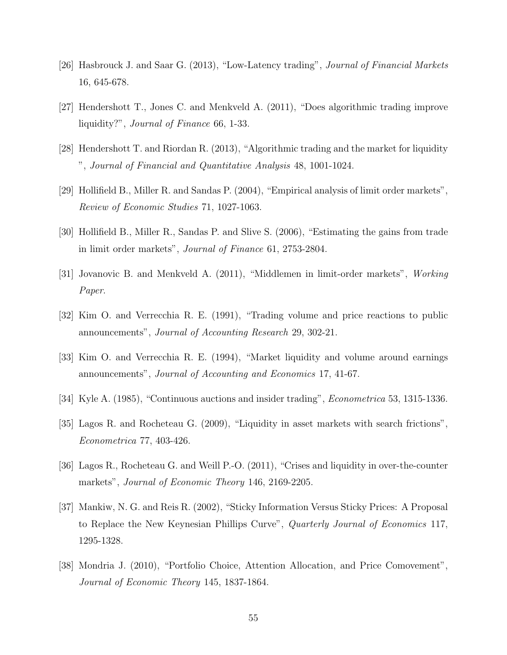- [26] Hasbrouck J. and Saar G. (2013), "Low-Latency trading", Journal of Financial Markets 16, 645-678.
- [27] Hendershott T., Jones C. and Menkveld A. (2011), "Does algorithmic trading improve liquidity?", Journal of Finance 66, 1-33.
- [28] Hendershott T. and Riordan R. (2013), "Algorithmic trading and the market for liquidity ", Journal of Financial and Quantitative Analysis 48, 1001-1024.
- [29] Hollifield B., Miller R. and Sandas P. (2004), "Empirical analysis of limit order markets", Review of Economic Studies 71, 1027-1063.
- [30] Hollifield B., Miller R., Sandas P. and Slive S. (2006), "Estimating the gains from trade in limit order markets", Journal of Finance 61, 2753-2804.
- [31] Jovanovic B. and Menkveld A. (2011), "Middlemen in limit-order markets", Working Paper.
- [32] Kim O. and Verrecchia R. E. (1991), "Trading volume and price reactions to public announcements", Journal of Accounting Research 29, 302-21.
- [33] Kim O. and Verrecchia R. E. (1994), "Market liquidity and volume around earnings announcements", Journal of Accounting and Economics 17, 41-67.
- [34] Kyle A. (1985), "Continuous auctions and insider trading", Econometrica 53, 1315-1336.
- [35] Lagos R. and Rocheteau G. (2009), "Liquidity in asset markets with search frictions", Econometrica 77, 403-426.
- [36] Lagos R., Rocheteau G. and Weill P.-O. (2011), "Crises and liquidity in over-the-counter markets", Journal of Economic Theory 146, 2169-2205.
- [37] Mankiw, N. G. and Reis R. (2002), "Sticky Information Versus Sticky Prices: A Proposal to Replace the New Keynesian Phillips Curve", Quarterly Journal of Economics 117, 1295-1328.
- [38] Mondria J. (2010), "Portfolio Choice, Attention Allocation, and Price Comovement", Journal of Economic Theory 145, 1837-1864.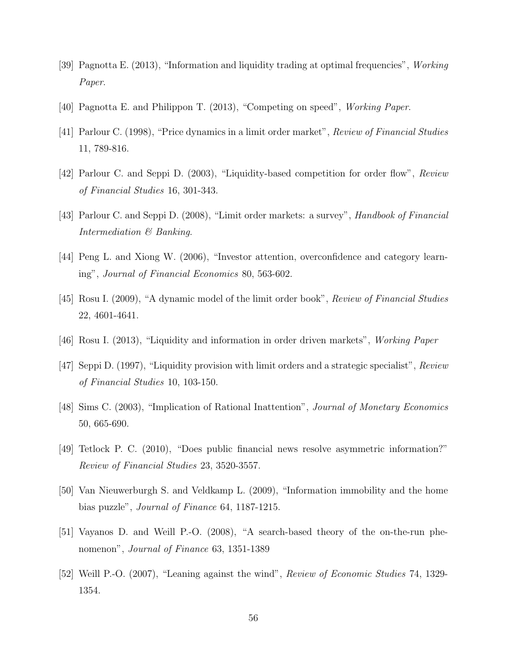- [39] Pagnotta E. (2013), "Information and liquidity trading at optimal frequencies", Working Paper.
- [40] Pagnotta E. and Philippon T. (2013), "Competing on speed", Working Paper.
- [41] Parlour C. (1998), "Price dynamics in a limit order market", Review of Financial Studies 11, 789-816.
- [42] Parlour C. and Seppi D. (2003), "Liquidity-based competition for order flow", Review of Financial Studies 16, 301-343.
- [43] Parlour C. and Seppi D. (2008), "Limit order markets: a survey", Handbook of Financial Intermediation & Banking.
- [44] Peng L. and Xiong W. (2006), "Investor attention, overconfidence and category learning", Journal of Financial Economics 80, 563-602.
- [45] Rosu I. (2009), "A dynamic model of the limit order book", Review of Financial Studies 22, 4601-4641.
- [46] Rosu I. (2013), "Liquidity and information in order driven markets", Working Paper
- [47] Seppi D. (1997), "Liquidity provision with limit orders and a strategic specialist", Review of Financial Studies 10, 103-150.
- [48] Sims C. (2003), "Implication of Rational Inattention", Journal of Monetary Economics 50, 665-690.
- [49] Tetlock P. C. (2010), "Does public financial news resolve asymmetric information?" Review of Financial Studies 23, 3520-3557.
- [50] Van Nieuwerburgh S. and Veldkamp L. (2009), "Information immobility and the home bias puzzle", Journal of Finance 64, 1187-1215.
- [51] Vayanos D. and Weill P.-O. (2008), "A search-based theory of the on-the-run phenomenon", *Journal of Finance* 63, 1351-1389
- [52] Weill P.-O. (2007), "Leaning against the wind", Review of Economic Studies 74, 1329- 1354.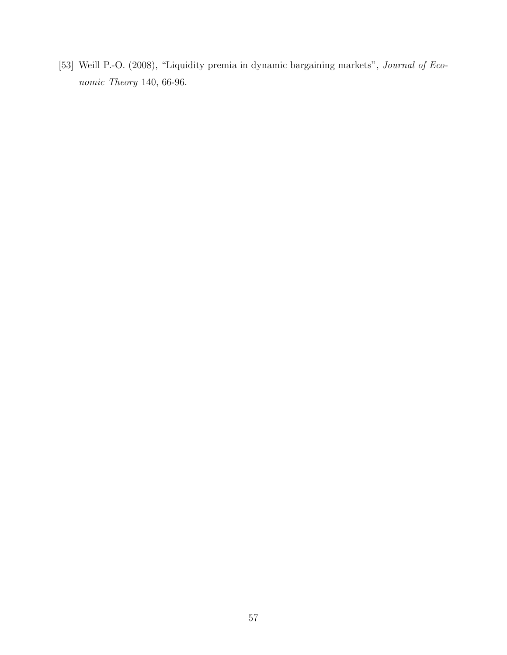[53] Weill P.-O. (2008), "Liquidity premia in dynamic bargaining markets", Journal of Economic Theory 140, 66-96.